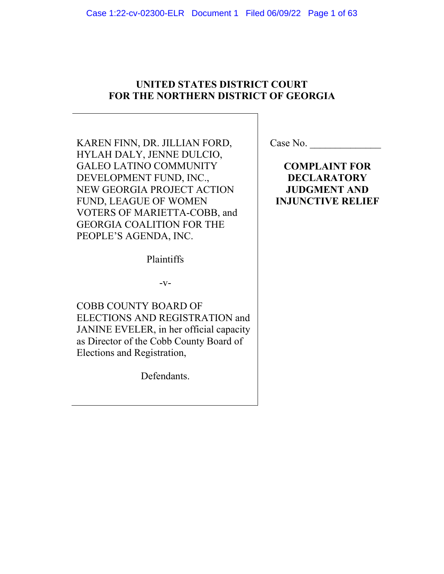# **UNITED STATES DISTRICT COURT FOR THE NORTHERN DISTRICT OF GEORGIA**

KAREN FINN, DR. JILLIAN FORD, HYLAH DALY, JENNE DULCIO, GALEO LATINO COMMUNITY DEVELOPMENT FUND, INC., NEW GEORGIA PROJECT ACTION FUND, LEAGUE OF WOMEN VOTERS OF MARIETTA-COBB, and GEORGIA COALITION FOR THE PEOPLE'S AGENDA, INC.

Plaintiffs

 $-V-$ 

COBB COUNTY BOARD OF ELECTIONS AND REGISTRATION and JANINE EVELER, in her official capacity as Director of the Cobb County Board of Elections and Registration,

Defendants.

**COMPLAINT FOR DECLARATORY JUDGMENT AND INJUNCTIVE RELIEF**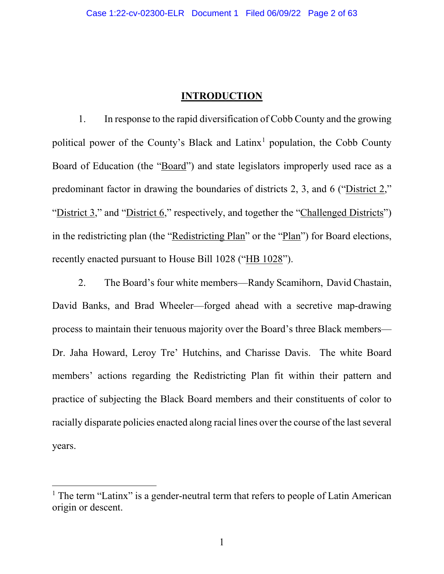## **INTRODUCTION**

1. In response to the rapid diversification of Cobb County and the growing political power of the County's Black and  $Latinx<sup>1</sup>$  population, the Cobb County Board of Education (the "Board") and state legislators improperly used race as a predominant factor in drawing the boundaries of districts 2, 3, and 6 ("District 2," "District 3," and "District 6," respectively, and together the "Challenged Districts") in the redistricting plan (the "Redistricting Plan" or the "Plan") for Board elections, recently enacted pursuant to House Bill 1028 ("HB 1028").

2. The Board's four white members—Randy Scamihorn, David Chastain, David Banks, and Brad Wheeler—forged ahead with a secretive map-drawing process to maintain their tenuous majority over the Board's three Black members— Dr. Jaha Howard, Leroy Tre' Hutchins, and Charisse Davis. The white Board members' actions regarding the Redistricting Plan fit within their pattern and practice of subjecting the Black Board members and their constituents of color to racially disparate policies enacted along racial lines over the course of the last several years.

 $<sup>1</sup>$  The term "Latinx" is a gender-neutral term that refers to people of Latin American</sup> origin or descent.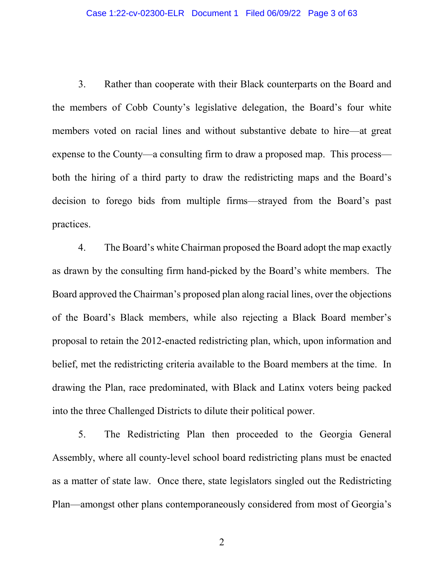3. Rather than cooperate with their Black counterparts on the Board and the members of Cobb County's legislative delegation, the Board's four white members voted on racial lines and without substantive debate to hire—at great expense to the County—a consulting firm to draw a proposed map. This process both the hiring of a third party to draw the redistricting maps and the Board's decision to forego bids from multiple firms—strayed from the Board's past practices.

4. The Board's white Chairman proposed the Board adopt the map exactly as drawn by the consulting firm hand-picked by the Board's white members. The Board approved the Chairman's proposed plan along racial lines, over the objections of the Board's Black members, while also rejecting a Black Board member's proposal to retain the 2012-enacted redistricting plan, which, upon information and belief, met the redistricting criteria available to the Board members at the time. In drawing the Plan, race predominated, with Black and Latinx voters being packed into the three Challenged Districts to dilute their political power.

5. The Redistricting Plan then proceeded to the Georgia General Assembly, where all county-level school board redistricting plans must be enacted as a matter of state law. Once there, state legislators singled out the Redistricting Plan—amongst other plans contemporaneously considered from most of Georgia's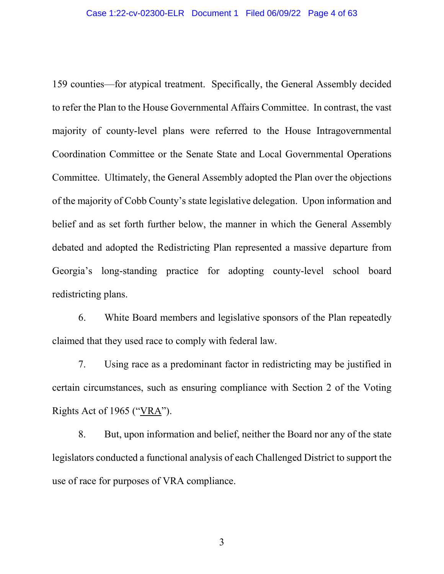159 counties—for atypical treatment. Specifically, the General Assembly decided to refer the Plan to the House Governmental Affairs Committee. In contrast, the vast majority of county-level plans were referred to the House Intragovernmental Coordination Committee or the Senate State and Local Governmental Operations Committee. Ultimately, the General Assembly adopted the Plan over the objections of the majority of Cobb County's state legislative delegation. Upon information and belief and as set forth further below, the manner in which the General Assembly debated and adopted the Redistricting Plan represented a massive departure from Georgia's long-standing practice for adopting county-level school board redistricting plans.

6. White Board members and legislative sponsors of the Plan repeatedly claimed that they used race to comply with federal law.

7. Using race as a predominant factor in redistricting may be justified in certain circumstances, such as ensuring compliance with Section 2 of the Voting Rights Act of 1965 ("VRA").

8. But, upon information and belief, neither the Board nor any of the state legislators conducted a functional analysis of each Challenged District to support the use of race for purposes of VRA compliance.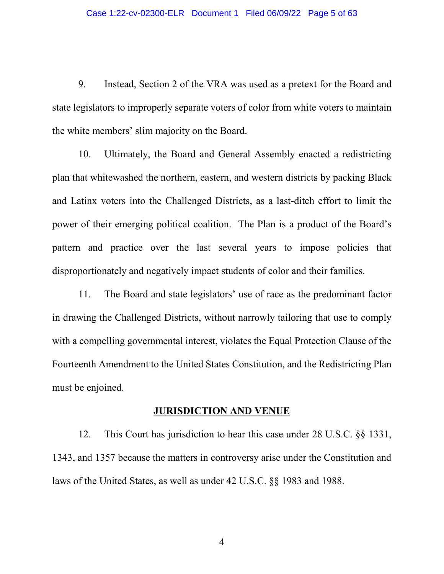9. Instead, Section 2 of the VRA was used as a pretext for the Board and state legislators to improperly separate voters of color from white voters to maintain the white members' slim majority on the Board.

10. Ultimately, the Board and General Assembly enacted a redistricting plan that whitewashed the northern, eastern, and western districts by packing Black and Latinx voters into the Challenged Districts, as a last-ditch effort to limit the power of their emerging political coalition. The Plan is a product of the Board's pattern and practice over the last several years to impose policies that disproportionately and negatively impact students of color and their families.

11. The Board and state legislators' use of race as the predominant factor in drawing the Challenged Districts, without narrowly tailoring that use to comply with a compelling governmental interest, violates the Equal Protection Clause of the Fourteenth Amendment to the United States Constitution, and the Redistricting Plan must be enjoined.

#### **JURISDICTION AND VENUE**

12. This Court has jurisdiction to hear this case under 28 U.S.C. §§ 1331, 1343, and 1357 because the matters in controversy arise under the Constitution and laws of the United States, as well as under 42 U.S.C. §§ 1983 and 1988.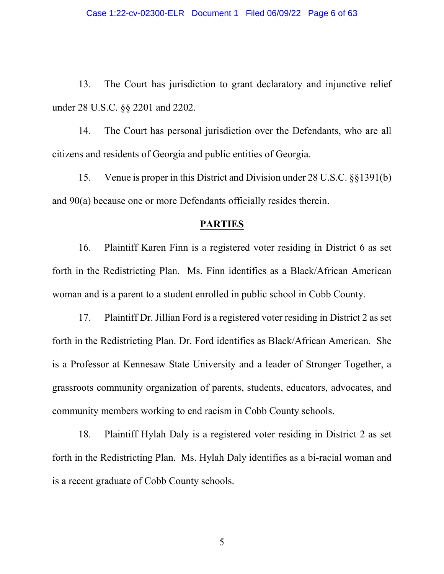13. The Court has jurisdiction to grant declaratory and injunctive relief under 28 U.S.C. §§ 2201 and 2202.

14. The Court has personal jurisdiction over the Defendants, who are all citizens and residents of Georgia and public entities of Georgia.

15. Venue is proper in this District and Division under 28 U.S.C. §§1391(b) and 90(a) because one or more Defendants officially resides therein.

#### **PARTIES**

16. Plaintiff Karen Finn is a registered voter residing in District 6 as set forth in the Redistricting Plan. Ms. Finn identifies as a Black/African American woman and is a parent to a student enrolled in public school in Cobb County.

17. Plaintiff Dr. Jillian Ford is a registered voter residing in District 2 as set forth in the Redistricting Plan. Dr. Ford identifies as Black/African American. She is a Professor at Kennesaw State University and a leader of Stronger Together, a grassroots community organization of parents, students, educators, advocates, and community members working to end racism in Cobb County schools.

18. Plaintiff Hylah Daly is a registered voter residing in District 2 as set forth in the Redistricting Plan. Ms. Hylah Daly identifies as a bi-racial woman and is a recent graduate of Cobb County schools.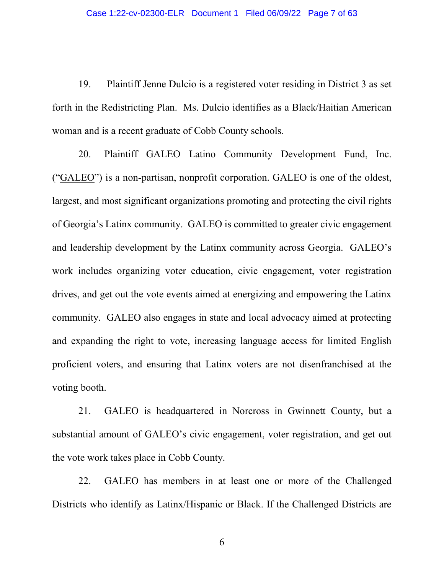19. Plaintiff Jenne Dulcio is a registered voter residing in District 3 as set forth in the Redistricting Plan. Ms. Dulcio identifies as a Black/Haitian American woman and is a recent graduate of Cobb County schools.

20. Plaintiff GALEO Latino Community Development Fund, Inc. ("GALEO") is a non-partisan, nonprofit corporation. GALEO is one of the oldest, largest, and most significant organizations promoting and protecting the civil rights of Georgia's Latinx community. GALEO is committed to greater civic engagement and leadership development by the Latinx community across Georgia. GALEO's work includes organizing voter education, civic engagement, voter registration drives, and get out the vote events aimed at energizing and empowering the Latinx community. GALEO also engages in state and local advocacy aimed at protecting and expanding the right to vote, increasing language access for limited English proficient voters, and ensuring that Latinx voters are not disenfranchised at the voting booth.

21. GALEO is headquartered in Norcross in Gwinnett County, but a substantial amount of GALEO's civic engagement, voter registration, and get out the vote work takes place in Cobb County.

22. GALEO has members in at least one or more of the Challenged Districts who identify as Latinx/Hispanic or Black. If the Challenged Districts are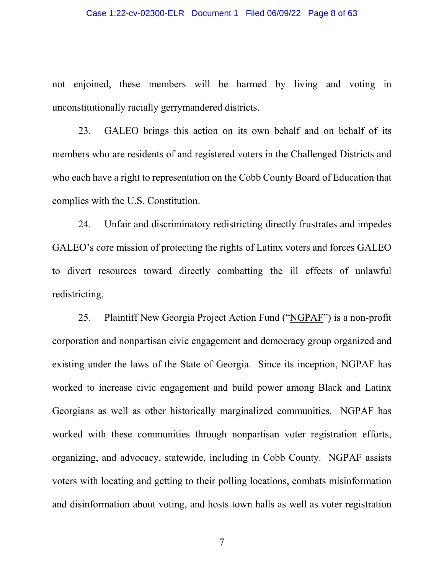#### Case 1:22-cv-02300-ELR Document 1 Filed 06/09/22 Page 8 of 63

not enjoined, these members will be harmed by living and voting in unconstitutionally racially gerrymandered districts.

23. GALEO brings this action on its own behalf and on behalf of its members who are residents of and registered voters in the Challenged Districts and who each have a right to representation on the Cobb County Board of Education that complies with the U.S. Constitution.

24. Unfair and discriminatory redistricting directly frustrates and impedes GALEO's core mission of protecting the rights of Latinx voters and forces GALEO to divert resources toward directly combatting the ill effects of unlawful redistricting.

25. Plaintiff New Georgia Project Action Fund ("NGPAF") is a non-profit corporation and nonpartisan civic engagement and democracy group organized and existing under the laws of the State of Georgia. Since its inception, NGPAF has worked to increase civic engagement and build power among Black and Latinx Georgians as well as other historically marginalized communities. NGPAF has worked with these communities through nonpartisan voter registration efforts, organizing, and advocacy, statewide, including in Cobb County. NGPAF assists voters with locating and getting to their polling locations, combats misinformation and disinformation about voting, and hosts town halls as well as voter registration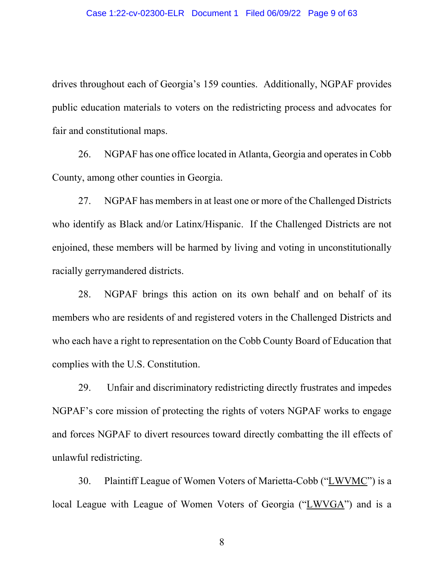drives throughout each of Georgia's 159 counties. Additionally, NGPAF provides public education materials to voters on the redistricting process and advocates for fair and constitutional maps.

26. NGPAF has one office located in Atlanta, Georgia and operates in Cobb County, among other counties in Georgia.

27. NGPAF has members in at least one or more of the Challenged Districts who identify as Black and/or Latinx/Hispanic. If the Challenged Districts are not enjoined, these members will be harmed by living and voting in unconstitutionally racially gerrymandered districts.

28. NGPAF brings this action on its own behalf and on behalf of its members who are residents of and registered voters in the Challenged Districts and who each have a right to representation on the Cobb County Board of Education that complies with the U.S. Constitution.

29. Unfair and discriminatory redistricting directly frustrates and impedes NGPAF's core mission of protecting the rights of voters NGPAF works to engage and forces NGPAF to divert resources toward directly combatting the ill effects of unlawful redistricting.

30. Plaintiff League of Women Voters of Marietta-Cobb ("LWVMC") is a local League with League of Women Voters of Georgia ("LWVGA") and is a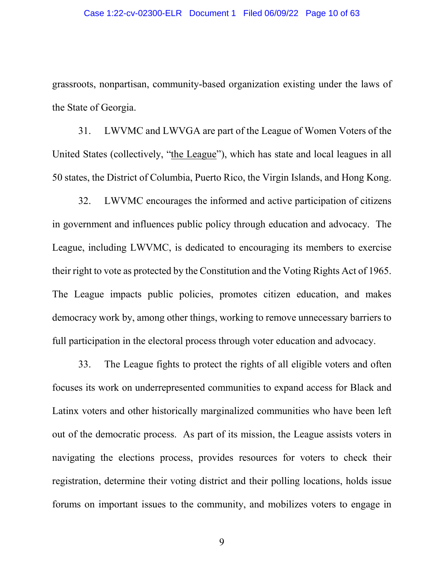grassroots, nonpartisan, community-based organization existing under the laws of the State of Georgia.

31. LWVMC and LWVGA are part of the League of Women Voters of the United States (collectively, "the League"), which has state and local leagues in all 50 states, the District of Columbia, Puerto Rico, the Virgin Islands, and Hong Kong.

32. LWVMC encourages the informed and active participation of citizens in government and influences public policy through education and advocacy. The League, including LWVMC, is dedicated to encouraging its members to exercise their right to vote as protected by the Constitution and the Voting Rights Act of 1965. The League impacts public policies, promotes citizen education, and makes democracy work by, among other things, working to remove unnecessary barriers to full participation in the electoral process through voter education and advocacy.

33. The League fights to protect the rights of all eligible voters and often focuses its work on underrepresented communities to expand access for Black and Latinx voters and other historically marginalized communities who have been left out of the democratic process. As part of its mission, the League assists voters in navigating the elections process, provides resources for voters to check their registration, determine their voting district and their polling locations, holds issue forums on important issues to the community, and mobilizes voters to engage in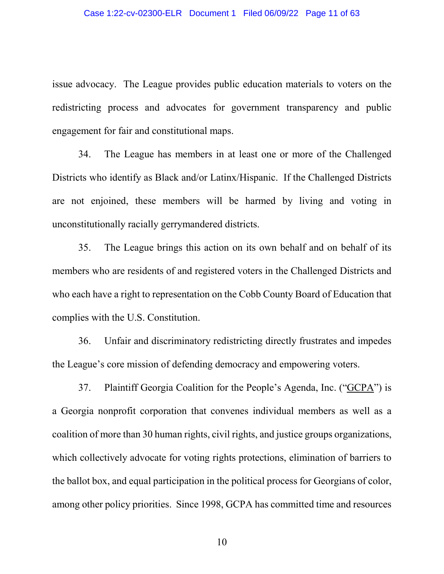issue advocacy. The League provides public education materials to voters on the redistricting process and advocates for government transparency and public engagement for fair and constitutional maps.

34. The League has members in at least one or more of the Challenged Districts who identify as Black and/or Latinx/Hispanic. If the Challenged Districts are not enjoined, these members will be harmed by living and voting in unconstitutionally racially gerrymandered districts.

35. The League brings this action on its own behalf and on behalf of its members who are residents of and registered voters in the Challenged Districts and who each have a right to representation on the Cobb County Board of Education that complies with the U.S. Constitution.

36. Unfair and discriminatory redistricting directly frustrates and impedes the League's core mission of defending democracy and empowering voters.

37. Plaintiff Georgia Coalition for the People's Agenda, Inc. ("GCPA") is a Georgia nonprofit corporation that convenes individual members as well as a coalition of more than 30 human rights, civil rights, and justice groups organizations, which collectively advocate for voting rights protections, elimination of barriers to the ballot box, and equal participation in the political process for Georgians of color, among other policy priorities. Since 1998, GCPA has committed time and resources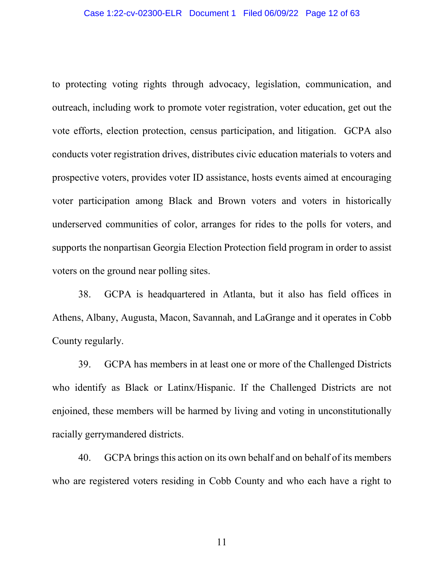to protecting voting rights through advocacy, legislation, communication, and outreach, including work to promote voter registration, voter education, get out the vote efforts, election protection, census participation, and litigation. GCPA also conducts voter registration drives, distributes civic education materials to voters and prospective voters, provides voter ID assistance, hosts events aimed at encouraging voter participation among Black and Brown voters and voters in historically underserved communities of color, arranges for rides to the polls for voters, and supports the nonpartisan Georgia Election Protection field program in order to assist voters on the ground near polling sites.

38. GCPA is headquartered in Atlanta, but it also has field offices in Athens, Albany, Augusta, Macon, Savannah, and LaGrange and it operates in Cobb County regularly.

39. GCPA has members in at least one or more of the Challenged Districts who identify as Black or Latinx/Hispanic. If the Challenged Districts are not enjoined, these members will be harmed by living and voting in unconstitutionally racially gerrymandered districts.

40. GCPA brings this action on its own behalf and on behalf of its members who are registered voters residing in Cobb County and who each have a right to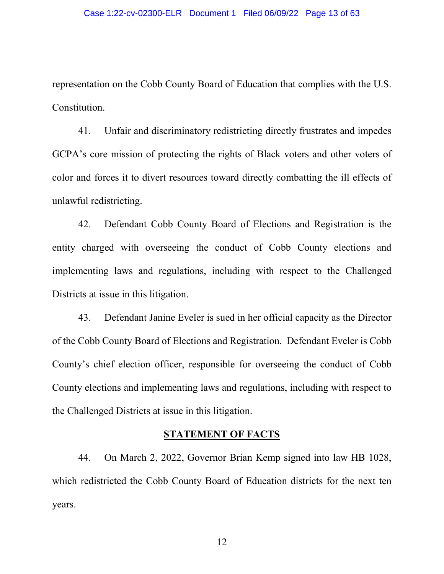representation on the Cobb County Board of Education that complies with the U.S. Constitution.

41. Unfair and discriminatory redistricting directly frustrates and impedes GCPA's core mission of protecting the rights of Black voters and other voters of color and forces it to divert resources toward directly combatting the ill effects of unlawful redistricting.

42. Defendant Cobb County Board of Elections and Registration is the entity charged with overseeing the conduct of Cobb County elections and implementing laws and regulations, including with respect to the Challenged Districts at issue in this litigation.

43. Defendant Janine Eveler is sued in her official capacity as the Director of the Cobb County Board of Elections and Registration. Defendant Eveler is Cobb County's chief election officer, responsible for overseeing the conduct of Cobb County elections and implementing laws and regulations, including with respect to the Challenged Districts at issue in this litigation.

## **STATEMENT OF FACTS**

44. On March 2, 2022, Governor Brian Kemp signed into law HB 1028, which redistricted the Cobb County Board of Education districts for the next ten years.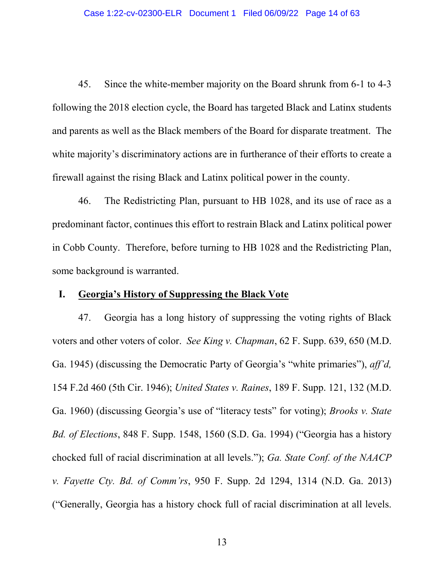45. Since the white-member majority on the Board shrunk from 6-1 to 4-3 following the 2018 election cycle, the Board has targeted Black and Latinx students and parents as well as the Black members of the Board for disparate treatment. The white majority's discriminatory actions are in furtherance of their efforts to create a firewall against the rising Black and Latinx political power in the county.

46. The Redistricting Plan, pursuant to HB 1028, and its use of race as a predominant factor, continues this effort to restrain Black and Latinx political power in Cobb County. Therefore, before turning to HB 1028 and the Redistricting Plan, some background is warranted.

# **I. Georgia's History of Suppressing the Black Vote**

47. Georgia has a long history of suppressing the voting rights of Black voters and other voters of color. *See King v. Chapman*, 62 F. Supp. 639, 650 (M.D. Ga. 1945) (discussing the Democratic Party of Georgia's "white primaries"), *aff'd,* 154 F.2d 460 (5th Cir. 1946); *United States v. Raines*, 189 F. Supp. 121, 132 (M.D. Ga. 1960) (discussing Georgia's use of "literacy tests" for voting); *Brooks v. State Bd. of Elections*, 848 F. Supp. 1548, 1560 (S.D. Ga. 1994) ("Georgia has a history chocked full of racial discrimination at all levels."); *Ga. State Conf. of the NAACP v. Fayette Cty. Bd. of Comm'rs*, 950 F. Supp. 2d 1294, 1314 (N.D. Ga. 2013) ("Generally, Georgia has a history chock full of racial discrimination at all levels.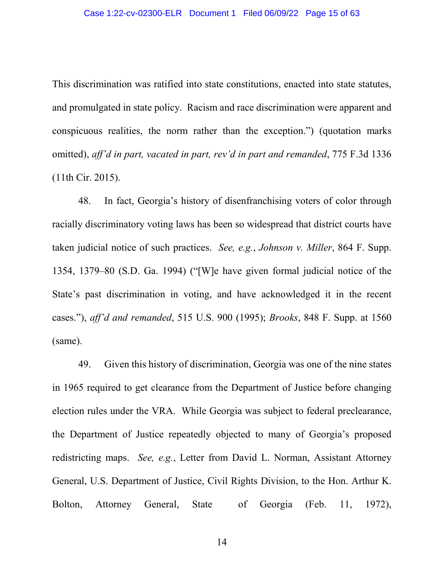This discrimination was ratified into state constitutions, enacted into state statutes, and promulgated in state policy. Racism and race discrimination were apparent and conspicuous realities, the norm rather than the exception.") (quotation marks omitted), *aff'd in part, vacated in part, rev'd in part and remanded*, 775 F.3d 1336 (11th Cir. 2015).

48. In fact, Georgia's history of disenfranchising voters of color through racially discriminatory voting laws has been so widespread that district courts have taken judicial notice of such practices. *See, e.g.*, *Johnson v. Miller*, 864 F. Supp. 1354, 1379–80 (S.D. Ga. 1994) ("[W]e have given formal judicial notice of the State's past discrimination in voting, and have acknowledged it in the recent cases."), *aff'd and remanded*, 515 U.S. 900 (1995); *Brooks*, 848 F. Supp. at 1560 (same).

49. Given this history of discrimination, Georgia was one of the nine states in 1965 required to get clearance from the Department of Justice before changing election rules under the VRA. While Georgia was subject to federal preclearance, the Department of Justice repeatedly objected to many of Georgia's proposed redistricting maps. *See, e.g.*, Letter from David L. Norman, Assistant Attorney General, U.S. Department of Justice, Civil Rights Division, to the Hon. Arthur K. Bolton, Attorney General, State of Georgia (Feb. 11, 1972),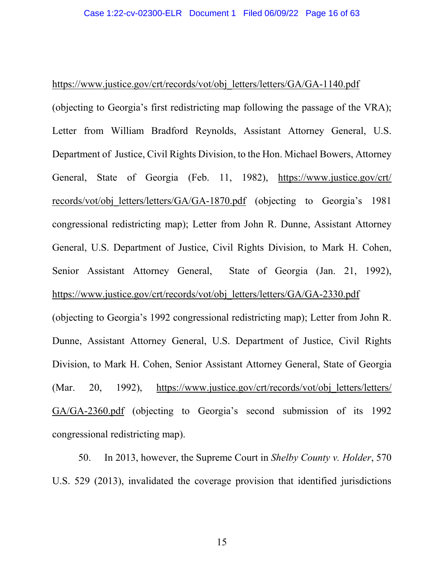### https://www.justice.gov/crt/records/vot/obj\_letters/letters/GA/GA-1140.pdf

(objecting to Georgia's first redistricting map following the passage of the VRA); Letter from William Bradford Reynolds, Assistant Attorney General, U.S. Department of Justice, Civil Rights Division, to the Hon. Michael Bowers, Attorney General, State of Georgia (Feb. 11, 1982), https://www.justice.gov/crt/ records/vot/obj\_letters/letters/GA/GA-1870.pdf (objecting to Georgia's 1981) congressional redistricting map); Letter from John R. Dunne, Assistant Attorney General, U.S. Department of Justice, Civil Rights Division, to Mark H. Cohen, Senior Assistant Attorney General, State of Georgia (Jan. 21, 1992), https://www.justice.gov/crt/records/vot/obj\_letters/letters/GA/GA-2330.pdf

(objecting to Georgia's 1992 congressional redistricting map); Letter from John R. Dunne, Assistant Attorney General, U.S. Department of Justice, Civil Rights Division, to Mark H. Cohen, Senior Assistant Attorney General, State of Georgia (Mar. 20, 1992), https://www.justice.gov/crt/records/vot/obj letters/letters/ GA/GA-2360.pdf (objecting to Georgia's second submission of its 1992 congressional redistricting map).

50. In 2013, however, the Supreme Court in *Shelby County v. Holder*, 570 U.S. 529 (2013), invalidated the coverage provision that identified jurisdictions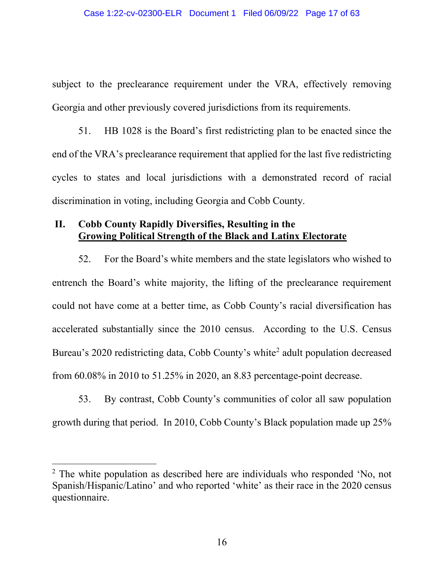subject to the preclearance requirement under the VRA, effectively removing Georgia and other previously covered jurisdictions from its requirements.

51. HB 1028 is the Board's first redistricting plan to be enacted since the end of the VRA's preclearance requirement that applied for the last five redistricting cycles to states and local jurisdictions with a demonstrated record of racial discrimination in voting, including Georgia and Cobb County.

# **II. Cobb County Rapidly Diversifies, Resulting in the Growing Political Strength of the Black and Latinx Electorate**

52. For the Board's white members and the state legislators who wished to entrench the Board's white majority, the lifting of the preclearance requirement could not have come at a better time, as Cobb County's racial diversification has accelerated substantially since the 2010 census. According to the U.S. Census Bureau's [2](#page-53-0)020 redistricting data, Cobb County's white<sup>2</sup> adult population decreased from 60.08% in 2010 to 51.25% in 2020, an 8.83 percentage-point decrease.

53. By contrast, Cobb County's communities of color all saw population growth during that period. In 2010, Cobb County's Black population made up 25%

 <sup>2</sup> The white population as described here are individuals who responded 'No, not Spanish/Hispanic/Latino' and who reported 'white' as their race in the 2020 census questionnaire.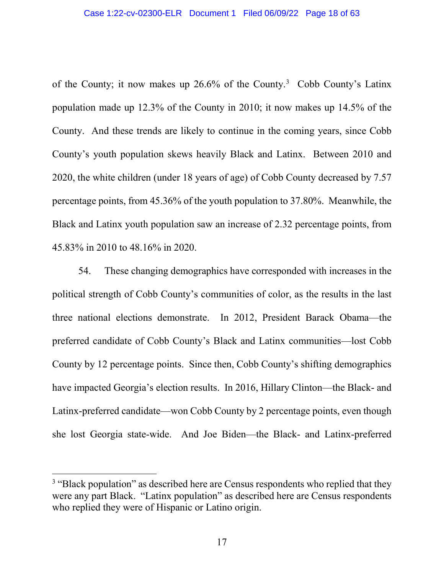of the County; it now makes up 26.6% of the County. [3](#page-53-0) Cobb County's Latinx population made up 12.3% of the County in 2010; it now makes up 14.5% of the County. And these trends are likely to continue in the coming years, since Cobb County's youth population skews heavily Black and Latinx. Between 2010 and 2020, the white children (under 18 years of age) of Cobb County decreased by 7.57 percentage points, from 45.36% of the youth population to 37.80%. Meanwhile, the Black and Latinx youth population saw an increase of 2.32 percentage points, from 45.83% in 2010 to 48.16% in 2020.

54. These changing demographics have corresponded with increases in the political strength of Cobb County's communities of color, as the results in the last three national elections demonstrate. In 2012, President Barack Obama—the preferred candidate of Cobb County's Black and Latinx communities—lost Cobb County by 12 percentage points. Since then, Cobb County's shifting demographics have impacted Georgia's election results. In 2016, Hillary Clinton—the Black- and Latinx-preferred candidate—won Cobb County by 2 percentage points, even though she lost Georgia state-wide. And Joe Biden—the Black- and Latinx-preferred

<sup>&</sup>lt;sup>3</sup> "Black population" as described here are Census respondents who replied that they were any part Black. "Latinx population" as described here are Census respondents who replied they were of Hispanic or Latino origin.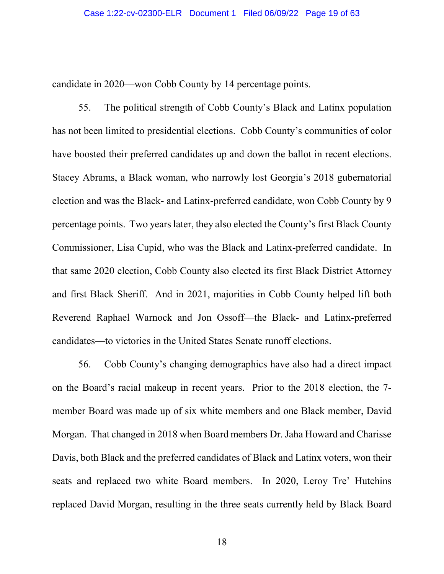candidate in 2020—won Cobb County by 14 percentage points.

55. The political strength of Cobb County's Black and Latinx population has not been limited to presidential elections. Cobb County's communities of color have boosted their preferred candidates up and down the ballot in recent elections. Stacey Abrams, a Black woman, who narrowly lost Georgia's 2018 gubernatorial election and was the Black- and Latinx-preferred candidate, won Cobb County by 9 percentage points. Two years later, they also elected the County's first Black County Commissioner, Lisa Cupid, who was the Black and Latinx-preferred candidate. In that same 2020 election, Cobb County also elected its first Black District Attorney and first Black Sheriff. And in 2021, majorities in Cobb County helped lift both Reverend Raphael Warnock and Jon Ossoff—the Black- and Latinx-preferred candidates—to victories in the United States Senate runoff elections.

56. Cobb County's changing demographics have also had a direct impact on the Board's racial makeup in recent years. Prior to the 2018 election, the 7 member Board was made up of six white members and one Black member, David Morgan. That changed in 2018 when Board members Dr. Jaha Howard and Charisse Davis, both Black and the preferred candidates of Black and Latinx voters, won their seats and replaced two white Board members. In 2020, Leroy Tre' Hutchins replaced David Morgan, resulting in the three seats currently held by Black Board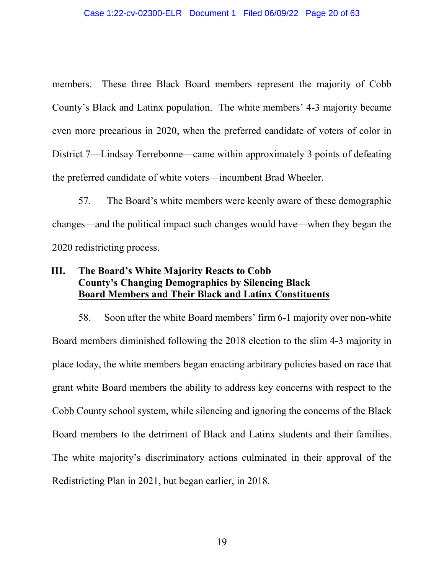members. These three Black Board members represent the majority of Cobb County's Black and Latinx population. The white members' 4-3 majority became even more precarious in 2020, when the preferred candidate of voters of color in District 7—Lindsay Terrebonne—came within approximately 3 points of defeating the preferred candidate of white voters—incumbent Brad Wheeler.

57. The Board's white members were keenly aware of these demographic changes—and the political impact such changes would have—when they began the 2020 redistricting process.

# **III. The Board's White Majority Reacts to Cobb County's Changing Demographics by Silencing Black Board Members and Their Black and Latinx Constituents**

58. Soon after the white Board members' firm 6-1 majority over non-white Board members diminished following the 2018 election to the slim 4-3 majority in place today, the white members began enacting arbitrary policies based on race that grant white Board members the ability to address key concerns with respect to the Cobb County school system, while silencing and ignoring the concerns of the Black Board members to the detriment of Black and Latinx students and their families. The white majority's discriminatory actions culminated in their approval of the Redistricting Plan in 2021, but began earlier, in 2018.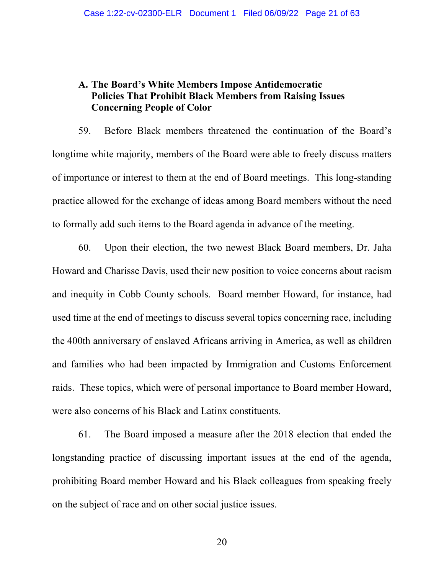# **A. The Board's White Members Impose Antidemocratic Policies That Prohibit Black Members from Raising Issues Concerning People of Color**

59. Before Black members threatened the continuation of the Board's longtime white majority, members of the Board were able to freely discuss matters of importance or interest to them at the end of Board meetings. This long-standing practice allowed for the exchange of ideas among Board members without the need to formally add such items to the Board agenda in advance of the meeting.

60. Upon their election, the two newest Black Board members, Dr. Jaha Howard and Charisse Davis, used their new position to voice concerns about racism and inequity in Cobb County schools. Board member Howard, for instance, had used time at the end of meetings to discuss several topics concerning race, including the 400th anniversary of enslaved Africans arriving in America, as well as children and families who had been impacted by Immigration and Customs Enforcement raids. These topics, which were of personal importance to Board member Howard, were also concerns of his Black and Latinx constituents.

61. The Board imposed a measure after the 2018 election that ended the longstanding practice of discussing important issues at the end of the agenda, prohibiting Board member Howard and his Black colleagues from speaking freely on the subject of race and on other social justice issues.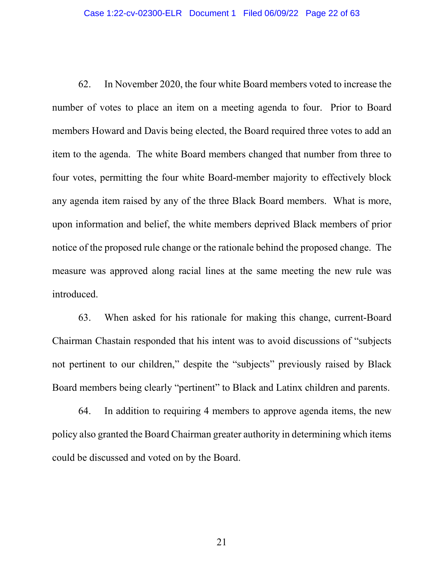62. In November 2020, the four white Board members voted to increase the number of votes to place an item on a meeting agenda to four. Prior to Board members Howard and Davis being elected, the Board required three votes to add an item to the agenda. The white Board members changed that number from three to four votes, permitting the four white Board-member majority to effectively block any agenda item raised by any of the three Black Board members. What is more, upon information and belief, the white members deprived Black members of prior notice of the proposed rule change or the rationale behind the proposed change. The measure was approved along racial lines at the same meeting the new rule was introduced.

63. When asked for his rationale for making this change, current-Board Chairman Chastain responded that his intent was to avoid discussions of "subjects not pertinent to our children," despite the "subjects" previously raised by Black Board members being clearly "pertinent" to Black and Latinx children and parents.

64. In addition to requiring 4 members to approve agenda items, the new policy also granted the Board Chairman greater authority in determining which items could be discussed and voted on by the Board.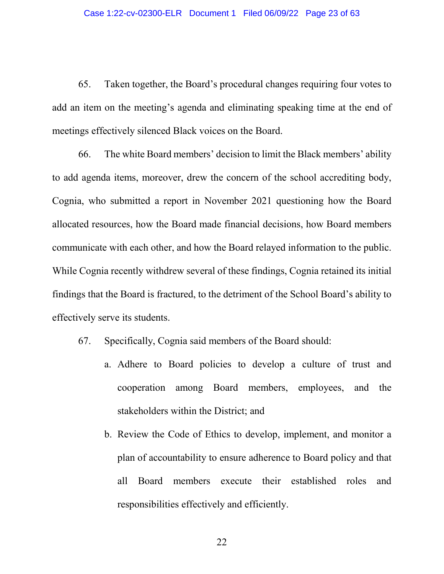65. Taken together, the Board's procedural changes requiring four votes to add an item on the meeting's agenda and eliminating speaking time at the end of meetings effectively silenced Black voices on the Board.

66. The white Board members' decision to limit the Black members' ability to add agenda items, moreover, drew the concern of the school accrediting body, Cognia, who submitted a report in November 2021 questioning how the Board allocated resources, how the Board made financial decisions, how Board members communicate with each other, and how the Board relayed information to the public. While Cognia recently withdrew several of these findings, Cognia retained its initial findings that the Board is fractured, to the detriment of the School Board's ability to effectively serve its students.

- 67. Specifically, Cognia said members of the Board should:
	- a. Adhere to Board policies to develop a culture of trust and cooperation among Board members, employees, and the stakeholders within the District; and
	- b. Review the Code of Ethics to develop, implement, and monitor a plan of accountability to ensure adherence to Board policy and that all Board members execute their established roles and responsibilities effectively and efficiently.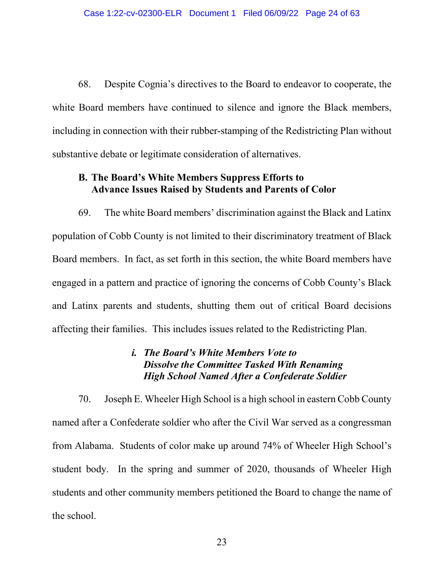68. Despite Cognia's directives to the Board to endeavor to cooperate, the white Board members have continued to silence and ignore the Black members, including in connection with their rubber-stamping of the Redistricting Plan without substantive debate or legitimate consideration of alternatives.

## **B. The Board's White Members Suppress Efforts to Advance Issues Raised by Students and Parents of Color**

69. The white Board members' discrimination against the Black and Latinx population of Cobb County is not limited to their discriminatory treatment of Black Board members. In fact, as set forth in this section, the white Board members have engaged in a pattern and practice of ignoring the concerns of Cobb County's Black and Latinx parents and students, shutting them out of critical Board decisions affecting their families. This includes issues related to the Redistricting Plan.

# *i. The Board's White Members Vote to Dissolve the Committee Tasked With Renaming High School Named After a Confederate Soldier*

70. Joseph E. Wheeler High School is a high school in eastern Cobb County named after a Confederate soldier who after the Civil War served as a congressman from Alabama. Students of color make up around 74% of Wheeler High School's student body. In the spring and summer of 2020, thousands of Wheeler High students and other community members petitioned the Board to change the name of the school.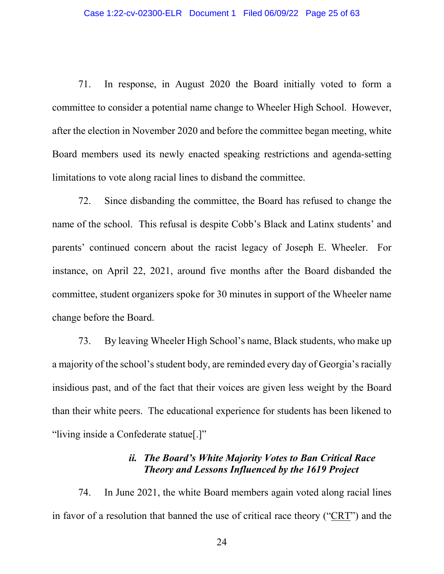71. In response, in August 2020 the Board initially voted to form a committee to consider a potential name change to Wheeler High School. However, after the election in November 2020 and before the committee began meeting, white Board members used its newly enacted speaking restrictions and agenda-setting limitations to vote along racial lines to disband the committee.

72. Since disbanding the committee, the Board has refused to change the name of the school. This refusal is despite Cobb's Black and Latinx students' and parents' continued concern about the racist legacy of Joseph E. Wheeler. For instance, on April 22, 2021, around five months after the Board disbanded the committee, student organizers spoke for 30 minutes in support of the Wheeler name change before the Board.

73. By leaving Wheeler High School's name, Black students, who make up a majority of the school's student body, are reminded every day of Georgia's racially insidious past, and of the fact that their voices are given less weight by the Board than their white peers. The educational experience for students has been likened to "living inside a Confederate statue[.]"

# *ii. The Board's White Majority Votes to Ban Critical Race Theory and Lessons Influenced by the 1619 Project*

74. In June 2021, the white Board members again voted along racial lines in favor of a resolution that banned the use of critical race theory ("CRT") and the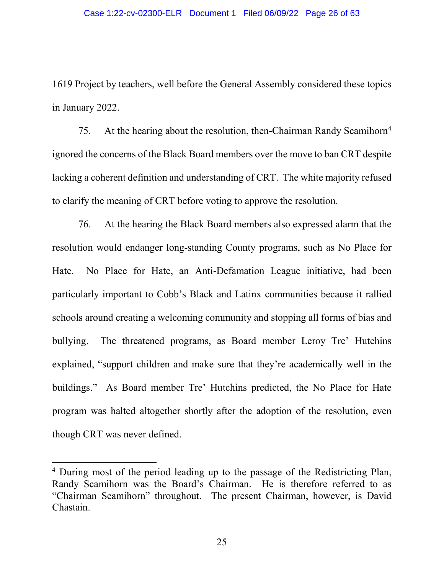1619 Project by teachers, well before the General Assembly considered these topics in January 2022.

75. At the hearing about the resolution, then-Chairman Randy Scamihorn<sup>4</sup> ignored the concerns of the Black Board members over the move to ban CRT despite lacking a coherent definition and understanding of CRT. The white majority refused to clarify the meaning of CRT before voting to approve the resolution.

76. At the hearing the Black Board members also expressed alarm that the resolution would endanger long-standing County programs, such as No Place for Hate. No Place for Hate, an Anti-Defamation League initiative, had been particularly important to Cobb's Black and Latinx communities because it rallied schools around creating a welcoming community and stopping all forms of bias and bullying. The threatened programs, as Board member Leroy Tre' Hutchins explained, "support children and make sure that they're academically well in the buildings." As Board member Tre' Hutchins predicted, the No Place for Hate program was halted altogether shortly after the adoption of the resolution, even though CRT was never defined.

<sup>&</sup>lt;sup>4</sup> During most of the period leading up to the passage of the Redistricting Plan, Randy Scamihorn was the Board's Chairman. He is therefore referred to as "Chairman Scamihorn" throughout. The present Chairman, however, is David Chastain.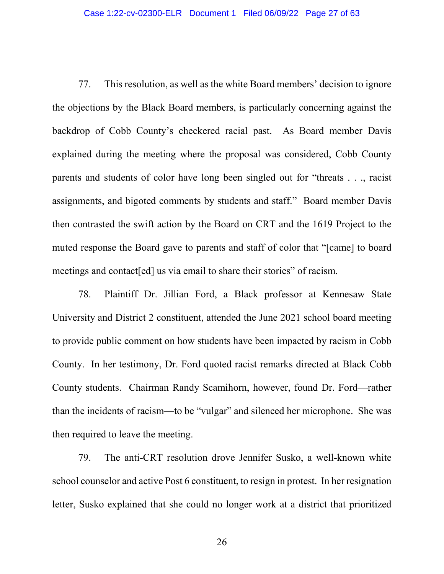77. This resolution, as well as the white Board members' decision to ignore the objections by the Black Board members, is particularly concerning against the backdrop of Cobb County's checkered racial past. As Board member Davis explained during the meeting where the proposal was considered, Cobb County parents and students of color have long been singled out for "threats . . ., racist assignments, and bigoted comments by students and staff." Board member Davis then contrasted the swift action by the Board on CRT and the 1619 Project to the muted response the Board gave to parents and staff of color that "[came] to board meetings and contact [ed] us via email to share their stories" of racism.

78. Plaintiff Dr. Jillian Ford, a Black professor at Kennesaw State University and District 2 constituent, attended the June 2021 school board meeting to provide public comment on how students have been impacted by racism in Cobb County. In her testimony, Dr. Ford quoted racist remarks directed at Black Cobb County students. Chairman Randy Scamihorn, however, found Dr. Ford—rather than the incidents of racism—to be "vulgar" and silenced her microphone. She was then required to leave the meeting.

79. The anti-CRT resolution drove Jennifer Susko, a well-known white school counselor and active Post 6 constituent, to resign in protest. In her resignation letter, Susko explained that she could no longer work at a district that prioritized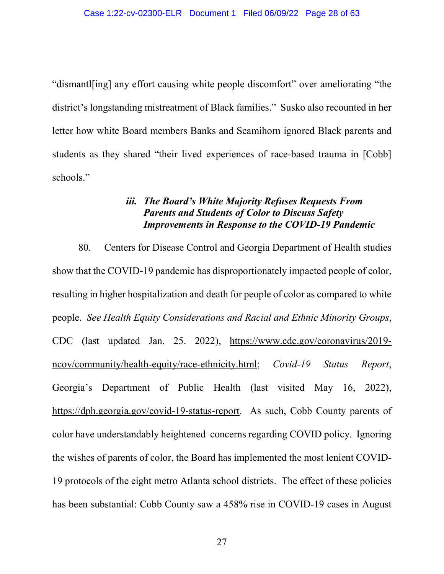"dismantl[ing] any effort causing white people discomfort" over ameliorating "the district's longstanding mistreatment of Black families." Susko also recounted in her letter how white Board members Banks and Scamihorn ignored Black parents and students as they shared "their lived experiences of race-based trauma in [Cobb] schools."

# *iii. The Board's White Majority Refuses Requests From Parents and Students of Color to Discuss Safety Improvements in Response to the COVID-19 Pandemic*

80. Centers for Disease Control and Georgia Department of Health studies show that the COVID-19 pandemic has disproportionately impacted people of color, resulting in higher hospitalization and death for people of color as compared to white people. *See Health Equity Considerations and Racial and Ethnic Minority Groups*, CDC (last updated Jan. 25. 2022), https://www.cdc.gov/coronavirus/2019 ncov/community/health-equity/race-ethnicity.html; *Covid-19 Status Report*, Georgia's Department of Public Health (last visited May 16, 2022), https://dph.georgia.gov/covid-19-status-report. As such, Cobb County parents of color have understandably heightened concerns regarding COVID policy. Ignoring the wishes of parents of color, the Board has implemented the most lenient COVID-19 protocols of the eight metro Atlanta school districts. The effect of these policies has been substantial: Cobb County saw a 458% rise in COVID-19 cases in August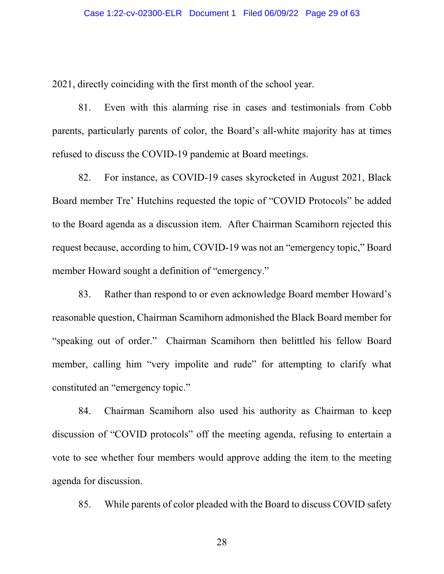2021, directly coinciding with the first month of the school year.

81. Even with this alarming rise in cases and testimonials from Cobb parents, particularly parents of color, the Board's all-white majority has at times refused to discuss the COVID-19 pandemic at Board meetings.

82. For instance, as COVID-19 cases skyrocketed in August 2021, Black Board member Tre' Hutchins requested the topic of "COVID Protocols" be added to the Board agenda as a discussion item. After Chairman Scamihorn rejected this request because, according to him, COVID-19 was not an "emergency topic," Board member Howard sought a definition of "emergency."

83. Rather than respond to or even acknowledge Board member Howard's reasonable question, Chairman Scamihorn admonished the Black Board member for "speaking out of order." Chairman Scamihorn then belittled his fellow Board member, calling him "very impolite and rude" for attempting to clarify what constituted an "emergency topic."

84. Chairman Scamihorn also used his authority as Chairman to keep discussion of "COVID protocols" off the meeting agenda, refusing to entertain a vote to see whether four members would approve adding the item to the meeting agenda for discussion.

85. While parents of color pleaded with the Board to discuss COVID safety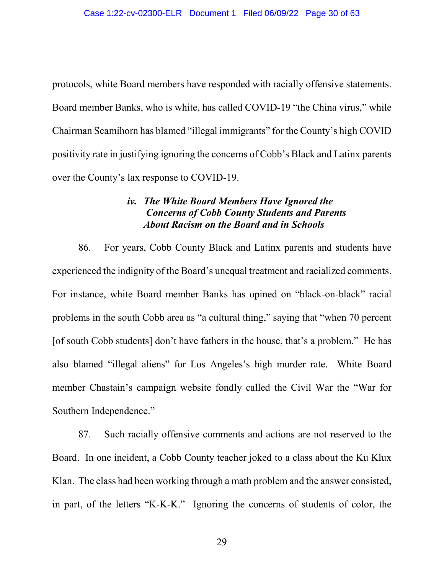protocols, white Board members have responded with racially offensive statements. Board member Banks, who is white, has called COVID-19 "the China virus," while Chairman Scamihorn has blamed "illegal immigrants" for the County's high COVID positivity rate in justifying ignoring the concerns of Cobb's Black and Latinx parents over the County's lax response to COVID-19.

# *iv. The White Board Members Have Ignored the Concerns of Cobb County Students and Parents About Racism on the Board and in Schools*

86. For years, Cobb County Black and Latinx parents and students have experienced the indignity of the Board's unequal treatment and racialized comments. For instance, white Board member Banks has opined on "black-on-black" racial problems in the south Cobb area as "a cultural thing," saying that "when 70 percent [of south Cobb students] don't have fathers in the house, that's a problem." He has also blamed "illegal aliens" for Los Angeles's high murder rate. White Board member Chastain's campaign website fondly called the Civil War the "War for Southern Independence."

87. Such racially offensive comments and actions are not reserved to the Board. In one incident, a Cobb County teacher joked to a class about the Ku Klux Klan. The class had been working through a math problem and the answer consisted, in part, of the letters "K-K-K." Ignoring the concerns of students of color, the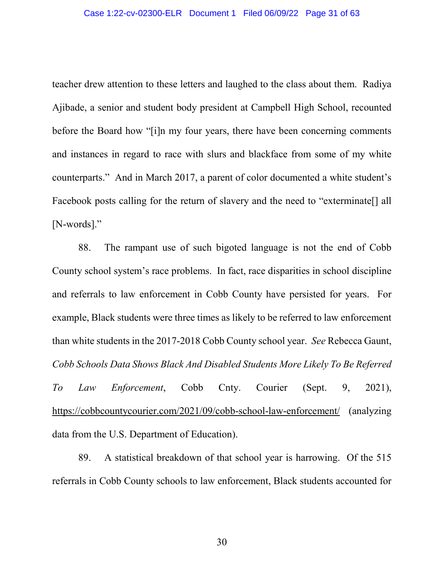teacher drew attention to these letters and laughed to the class about them. Radiya Ajibade, a senior and student body president at Campbell High School, recounted before the Board how "[i]n my four years, there have been concerning comments and instances in regard to race with slurs and blackface from some of my white counterparts." And in March 2017, a parent of color documented a white student's Facebook posts calling for the return of slavery and the need to "exterminate[] all [N-words]."

88. The rampant use of such bigoted language is not the end of Cobb County school system's race problems. In fact, race disparities in school discipline and referrals to law enforcement in Cobb County have persisted for years. For example, Black students were three times as likely to be referred to law enforcement than white students in the 2017-2018 Cobb County school year. *See* Rebecca Gaunt, *Cobb Schools Data Shows Black And Disabled Students More Likely To Be Referred To Law Enforcement*, Cobb Cnty. Courier (Sept. 9, 2021), https://cobbcountycourier.com/2021/09/cobb-school-law-enforcement/ (analyzing data from the U.S. Department of Education).

89. A statistical breakdown of that school year is harrowing. Of the 515 referrals in Cobb County schools to law enforcement, Black students accounted for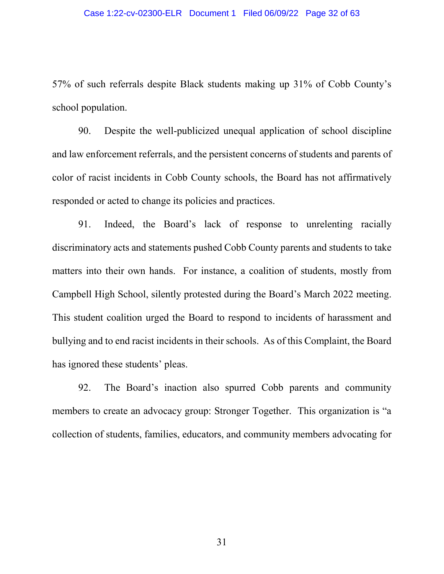57% of such referrals despite Black students making up 31% of Cobb County's school population.

90. Despite the well-publicized unequal application of school discipline and law enforcement referrals, and the persistent concerns of students and parents of color of racist incidents in Cobb County schools, the Board has not affirmatively responded or acted to change its policies and practices.

91. Indeed, the Board's lack of response to unrelenting racially discriminatory acts and statements pushed Cobb County parents and students to take matters into their own hands. For instance, a coalition of students, mostly from Campbell High School, silently protested during the Board's March 2022 meeting. This student coalition urged the Board to respond to incidents of harassment and bullying and to end racist incidents in their schools. As of this Complaint, the Board has ignored these students' pleas.

92. The Board's inaction also spurred Cobb parents and community members to create an advocacy group: Stronger Together. This organization is "a collection of students, families, educators, and community members advocating for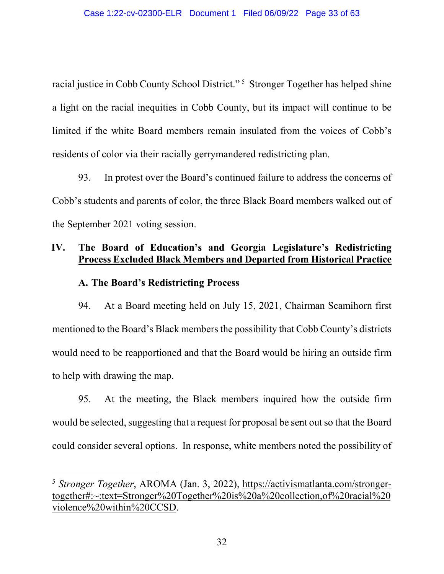racial justice in Cobb County School District."<sup>[5](#page-53-0)</sup> Stronger Together has helped shine a light on the racial inequities in Cobb County, but its impact will continue to be limited if the white Board members remain insulated from the voices of Cobb's residents of color via their racially gerrymandered redistricting plan.

93. In protest over the Board's continued failure to address the concerns of Cobb's students and parents of color, the three Black Board members walked out of the September 2021 voting session.

# **IV. The Board of Education's and Georgia Legislature's Redistricting Process Excluded Black Members and Departed from Historical Practice**

# **A. The Board's Redistricting Process**

94. At a Board meeting held on July 15, 2021, Chairman Scamihorn first mentioned to the Board's Black members the possibility that Cobb County's districts would need to be reapportioned and that the Board would be hiring an outside firm to help with drawing the map.

95. At the meeting, the Black members inquired how the outside firm would be selected, suggesting that a request for proposal be sent out so that the Board could consider several options. In response, white members noted the possibility of

 <sup>5</sup> *Stronger Together*, AROMA (Jan. 3, 2022), https://activismatlanta.com/strongertogether#:~:text=Stronger%20Together%20is%20a%20collection,of%20racial%20 violence%20within%20CCSD.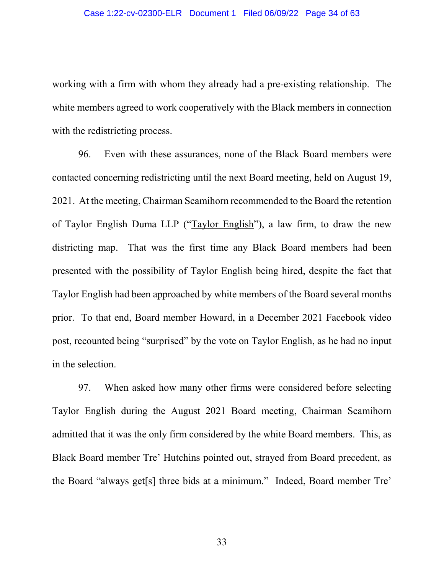working with a firm with whom they already had a pre-existing relationship. The white members agreed to work cooperatively with the Black members in connection with the redistricting process.

96. Even with these assurances, none of the Black Board members were contacted concerning redistricting until the next Board meeting, held on August 19, 2021. At the meeting, Chairman Scamihorn recommended to the Board the retention of Taylor English Duma LLP ("Taylor English"), a law firm, to draw the new districting map. That was the first time any Black Board members had been presented with the possibility of Taylor English being hired, despite the fact that Taylor English had been approached by white members of the Board several months prior. To that end, Board member Howard, in a December 2021 Facebook video post, recounted being "surprised" by the vote on Taylor English, as he had no input in the selection.

97. When asked how many other firms were considered before selecting Taylor English during the August 2021 Board meeting, Chairman Scamihorn admitted that it was the only firm considered by the white Board members. This, as Black Board member Tre' Hutchins pointed out, strayed from Board precedent, as the Board "always get[s] three bids at a minimum." Indeed, Board member Tre'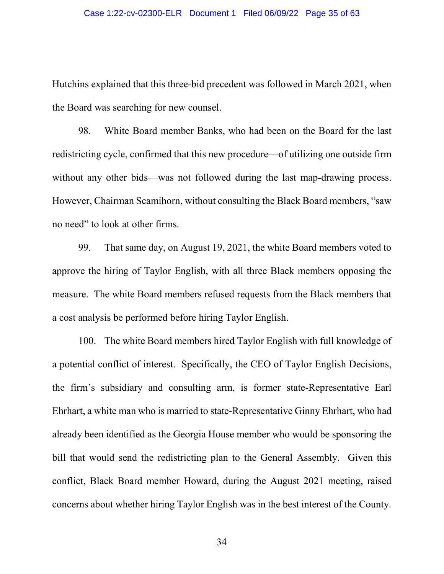#### Case 1:22-cv-02300-ELR Document 1 Filed 06/09/22 Page 35 of 63

Hutchins explained that this three-bid precedent was followed in March 2021, when the Board was searching for new counsel.

98. White Board member Banks, who had been on the Board for the last redistricting cycle, confirmed that this new procedure—of utilizing one outside firm without any other bids—was not followed during the last map-drawing process. However, Chairman Scamihorn, without consulting the Black Board members, "saw no need" to look at other firms.

99. That same day, on August 19, 2021, the white Board members voted to approve the hiring of Taylor English, with all three Black members opposing the measure. The white Board members refused requests from the Black members that a cost analysis be performed before hiring Taylor English.

100. The white Board members hired Taylor English with full knowledge of a potential conflict of interest. Specifically, the CEO of Taylor English Decisions, the firm's subsidiary and consulting arm, is former state-Representative Earl Ehrhart, a white man who is married to state-Representative Ginny Ehrhart, who had already been identified as the Georgia House member who would be sponsoring the bill that would send the redistricting plan to the General Assembly. Given this conflict, Black Board member Howard, during the August 2021 meeting, raised concerns about whether hiring Taylor English was in the best interest of the County.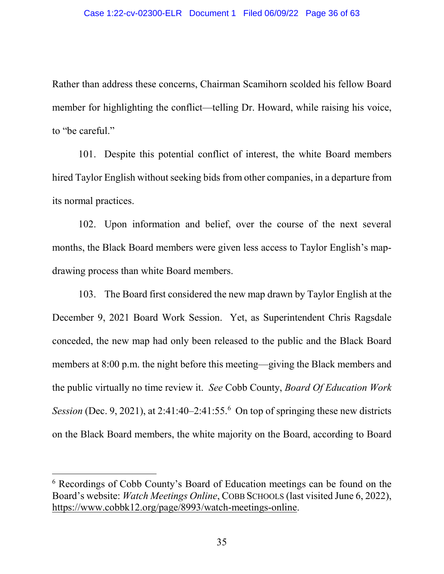Rather than address these concerns, Chairman Scamihorn scolded his fellow Board member for highlighting the conflict—telling Dr. Howard, while raising his voice, to "be careful."

101. Despite this potential conflict of interest, the white Board members hired Taylor English without seeking bids from other companies, in a departure from its normal practices.

102. Upon information and belief, over the course of the next several months, the Black Board members were given less access to Taylor English's mapdrawing process than white Board members.

103. The Board first considered the new map drawn by Taylor English at the December 9, 2021 Board Work Session. Yet, as Superintendent Chris Ragsdale conceded, the new map had only been released to the public and the Black Board members at 8:00 p.m. the night before this meeting—giving the Black members and the public virtually no time review it. *See* Cobb County, *Board Of Education Work Session* (Dec. 9, 2021), at 2:41:40–2:41:55.<sup>[6](#page-53-0)</sup> On top of springing these new districts on the Black Board members, the white majority on the Board, according to Board

 <sup>6</sup> Recordings of Cobb County's Board of Education meetings can be found on the Board's website: *Watch Meetings Online*, COBB SCHOOLS (last visited June 6, 2022), https://www.cobbk12.org/page/8993/watch-meetings-online.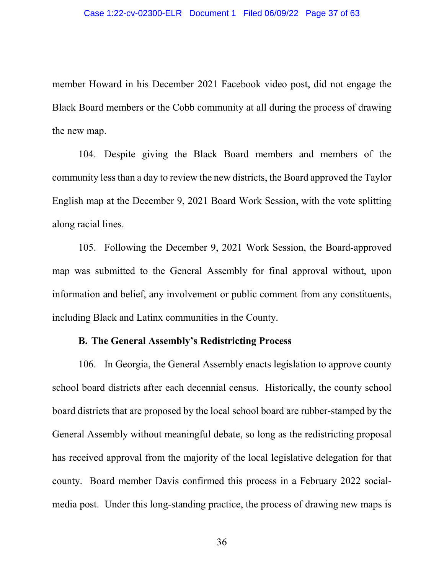member Howard in his December 2021 Facebook video post, did not engage the Black Board members or the Cobb community at all during the process of drawing the new map.

104. Despite giving the Black Board members and members of the community less than a day to review the new districts, the Board approved the Taylor English map at the December 9, 2021 Board Work Session, with the vote splitting along racial lines.

105. Following the December 9, 2021 Work Session, the Board-approved map was submitted to the General Assembly for final approval without, upon information and belief, any involvement or public comment from any constituents, including Black and Latinx communities in the County.

## **B. The General Assembly's Redistricting Process**

106. In Georgia, the General Assembly enacts legislation to approve county school board districts after each decennial census. Historically, the county school board districts that are proposed by the local school board are rubber-stamped by the General Assembly without meaningful debate, so long as the redistricting proposal has received approval from the majority of the local legislative delegation for that county. Board member Davis confirmed this process in a February 2022 socialmedia post. Under this long-standing practice, the process of drawing new maps is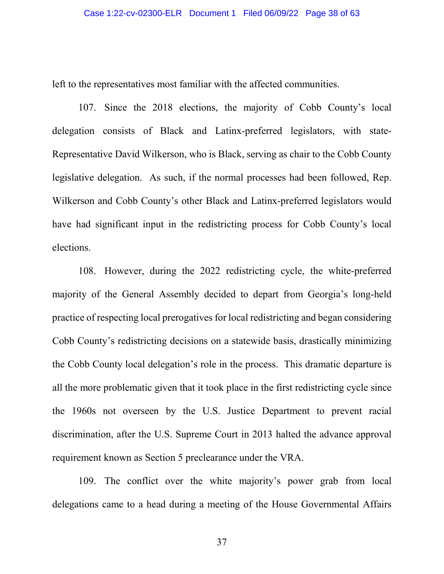left to the representatives most familiar with the affected communities.

107. Since the 2018 elections, the majority of Cobb County's local delegation consists of Black and Latinx-preferred legislators, with state-Representative David Wilkerson, who is Black, serving as chair to the Cobb County legislative delegation. As such, if the normal processes had been followed, Rep. Wilkerson and Cobb County's other Black and Latinx-preferred legislators would have had significant input in the redistricting process for Cobb County's local elections.

108. However, during the 2022 redistricting cycle, the white-preferred majority of the General Assembly decided to depart from Georgia's long-held practice of respecting local prerogatives for local redistricting and began considering Cobb County's redistricting decisions on a statewide basis, drastically minimizing the Cobb County local delegation's role in the process. This dramatic departure is all the more problematic given that it took place in the first redistricting cycle since the 1960s not overseen by the U.S. Justice Department to prevent racial discrimination, after the U.S. Supreme Court in 2013 halted the advance approval requirement known as Section 5 preclearance under the VRA.

109. The conflict over the white majority's power grab from local delegations came to a head during a meeting of the House Governmental Affairs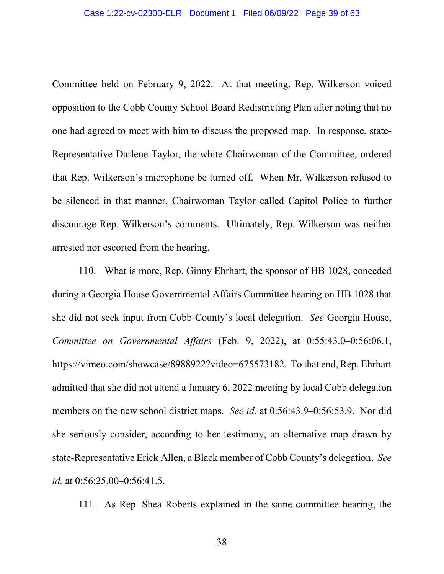Committee held on February 9, 2022. At that meeting, Rep. Wilkerson voiced opposition to the Cobb County School Board Redistricting Plan after noting that no one had agreed to meet with him to discuss the proposed map. In response, state-Representative Darlene Taylor, the white Chairwoman of the Committee, ordered that Rep. Wilkerson's microphone be turned off. When Mr. Wilkerson refused to be silenced in that manner, Chairwoman Taylor called Capitol Police to further discourage Rep. Wilkerson's comments. Ultimately, Rep. Wilkerson was neither arrested nor escorted from the hearing.

110. What is more, Rep. Ginny Ehrhart, the sponsor of HB 1028, conceded during a Georgia House Governmental Affairs Committee hearing on HB 1028 that she did not seek input from Cobb County's local delegation. *See* Georgia House, *Committee on Governmental Affairs* (Feb. 9, 2022), at 0:55:43.0–0:56:06.1, https://vimeo.com/showcase/8988922?video=675573182. To that end, Rep. Ehrhart admitted that she did not attend a January 6, 2022 meeting by local Cobb delegation members on the new school district maps. *See id.* at 0:56:43.9–0:56:53.9. Nor did she seriously consider, according to her testimony, an alternative map drawn by state-Representative Erick Allen, a Black member of Cobb County's delegation. *See id.* at 0:56:25.00–0:56:41.5.

111. As Rep. Shea Roberts explained in the same committee hearing, the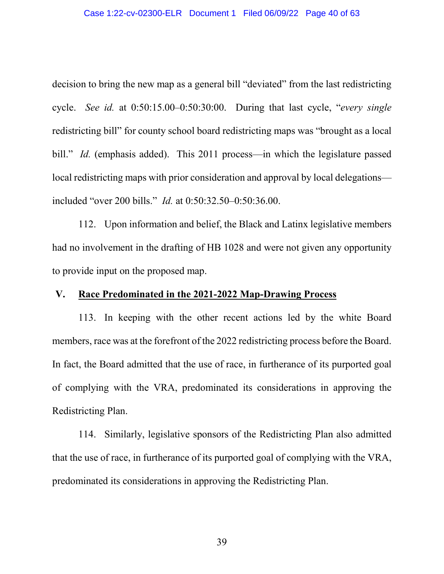#### Case 1:22-cv-02300-ELR Document 1 Filed 06/09/22 Page 40 of 63

decision to bring the new map as a general bill "deviated" from the last redistricting cycle. *See id.* at 0:50:15.00–0:50:30:00. During that last cycle, "*every single* redistricting bill" for county school board redistricting maps was "brought as a local bill." *Id.* (emphasis added). This 2011 process—in which the legislature passed local redistricting maps with prior consideration and approval by local delegations included "over 200 bills." *Id.* at 0:50:32.50–0:50:36.00.

112. Upon information and belief, the Black and Latinx legislative members had no involvement in the drafting of HB 1028 and were not given any opportunity to provide input on the proposed map.

# **V. Race Predominated in the 2021-2022 Map-Drawing Process**

113. In keeping with the other recent actions led by the white Board members, race was at the forefront of the 2022 redistricting process before the Board. In fact, the Board admitted that the use of race, in furtherance of its purported goal of complying with the VRA, predominated its considerations in approving the Redistricting Plan.

114. Similarly, legislative sponsors of the Redistricting Plan also admitted that the use of race, in furtherance of its purported goal of complying with the VRA, predominated its considerations in approving the Redistricting Plan.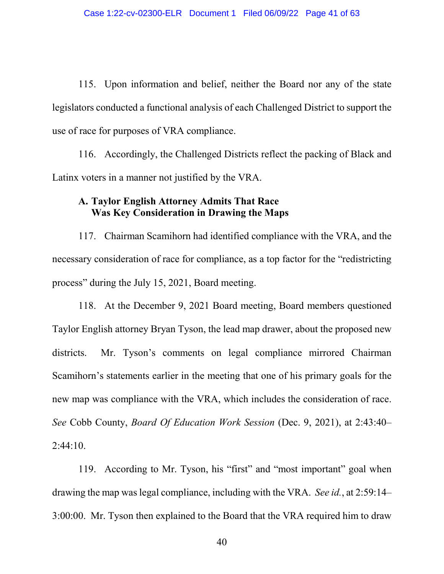115. Upon information and belief, neither the Board nor any of the state legislators conducted a functional analysis of each Challenged District to support the use of race for purposes of VRA compliance.

116. Accordingly, the Challenged Districts reflect the packing of Black and Latinx voters in a manner not justified by the VRA.

# **A. Taylor English Attorney Admits That Race Was Key Consideration in Drawing the Maps**

117. Chairman Scamihorn had identified compliance with the VRA, and the necessary consideration of race for compliance, as a top factor for the "redistricting process" during the July 15, 2021, Board meeting.

118. At the December 9, 2021 Board meeting, Board members questioned Taylor English attorney Bryan Tyson, the lead map drawer, about the proposed new districts. Mr. Tyson's comments on legal compliance mirrored Chairman Scamihorn's statements earlier in the meeting that one of his primary goals for the new map was compliance with the VRA, which includes the consideration of race. *See* Cobb County, *Board Of Education Work Session* (Dec. 9, 2021), at 2:43:40–  $2:44:10.$ 

119. According to Mr. Tyson, his "first" and "most important" goal when drawing the map was legal compliance, including with the VRA. *See id.*, at 2:59:14– 3:00:00. Mr. Tyson then explained to the Board that the VRA required him to draw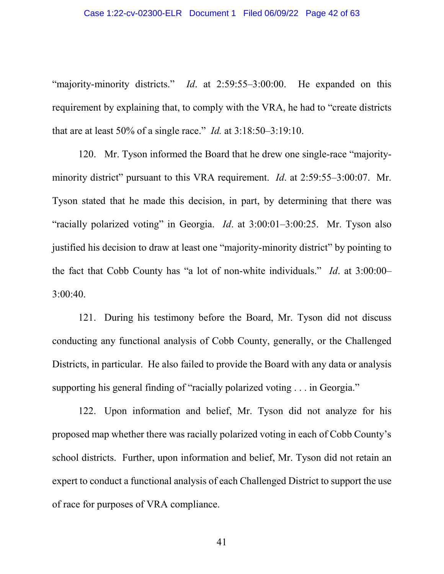"majority-minority districts." *Id*. at 2:59:55–3:00:00. He expanded on this requirement by explaining that, to comply with the VRA, he had to "create districts that are at least 50% of a single race." *Id.* at 3:18:50–3:19:10.

120. Mr. Tyson informed the Board that he drew one single-race "majorityminority district" pursuant to this VRA requirement. *Id*. at 2:59:55–3:00:07. Mr. Tyson stated that he made this decision, in part, by determining that there was "racially polarized voting" in Georgia. *Id*. at 3:00:01–3:00:25. Mr. Tyson also justified his decision to draw at least one "majority-minority district" by pointing to the fact that Cobb County has "a lot of non-white individuals." *Id*. at 3:00:00– 3:00:40.

121. During his testimony before the Board, Mr. Tyson did not discuss conducting any functional analysis of Cobb County, generally, or the Challenged Districts, in particular. He also failed to provide the Board with any data or analysis supporting his general finding of "racially polarized voting . . . in Georgia."

122. Upon information and belief, Mr. Tyson did not analyze for his proposed map whether there was racially polarized voting in each of Cobb County's school districts. Further, upon information and belief, Mr. Tyson did not retain an expert to conduct a functional analysis of each Challenged District to support the use of race for purposes of VRA compliance.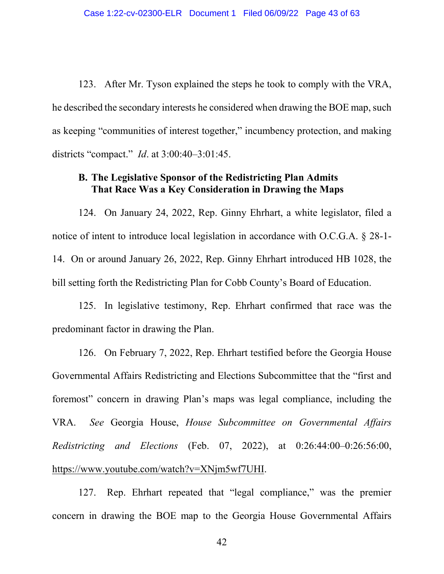123. After Mr. Tyson explained the steps he took to comply with the VRA, he described the secondary interests he considered when drawing the BOE map, such as keeping "communities of interest together," incumbency protection, and making districts "compact." *Id*. at 3:00:40–3:01:45.

## **B. The Legislative Sponsor of the Redistricting Plan Admits That Race Was a Key Consideration in Drawing the Maps**

124. On January 24, 2022, Rep. Ginny Ehrhart, a white legislator, filed a notice of intent to introduce local legislation in accordance with O.C.G.A. § 28-1- 14. On or around January 26, 2022, Rep. Ginny Ehrhart introduced HB 1028, the bill setting forth the Redistricting Plan for Cobb County's Board of Education.

125. In legislative testimony, Rep. Ehrhart confirmed that race was the predominant factor in drawing the Plan.

126. On February 7, 2022, Rep. Ehrhart testified before the Georgia House Governmental Affairs Redistricting and Elections Subcommittee that the "first and foremost" concern in drawing Plan's maps was legal compliance, including the VRA. *See* Georgia House, *House Subcommittee on Governmental Affairs Redistricting and Elections* (Feb. 07, 2022), at 0:26:44:00–0:26:56:00, https://www.youtube.com/watch?v=XNjm5wf7UHI.

127. Rep. Ehrhart repeated that "legal compliance," was the premier concern in drawing the BOE map to the Georgia House Governmental Affairs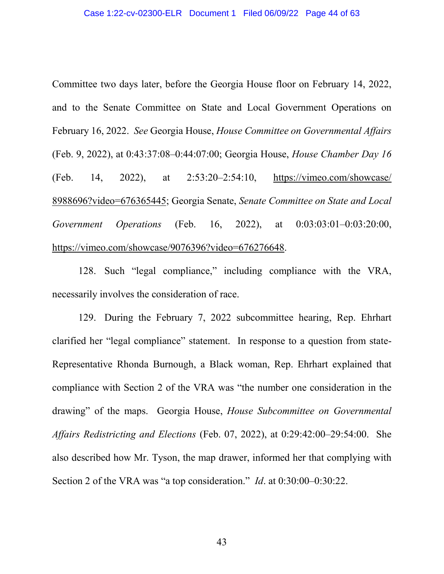Committee two days later, before the Georgia House floor on February 14, 2022, and to the Senate Committee on State and Local Government Operations on February 16, 2022. *See* Georgia House, *House Committee on Governmental Affairs* (Feb. 9, 2022), at 0:43:37:08–0:44:07:00; Georgia House, *House Chamber Day 16* (Feb. 14, 2022), at 2:53:20–2:54:10, https://vimeo.com/showcase/ 8988696?video=676365445; Georgia Senate, *Senate Committee on State and Local Government Operations* (Feb. 16, 2022), at 0:03:03:01–0:03:20:00, https://vimeo.com/showcase/9076396?video=676276648.

128. Such "legal compliance," including compliance with the VRA, necessarily involves the consideration of race.

129. During the February 7, 2022 subcommittee hearing, Rep. Ehrhart clarified her "legal compliance" statement. In response to a question from state-Representative Rhonda Burnough, a Black woman, Rep. Ehrhart explained that compliance with Section 2 of the VRA was "the number one consideration in the drawing" of the maps. Georgia House, *House Subcommittee on Governmental Affairs Redistricting and Elections* (Feb. 07, 2022), at 0:29:42:00–29:54:00. She also described how Mr. Tyson, the map drawer, informed her that complying with Section 2 of the VRA was "a top consideration." *Id*. at 0:30:00–0:30:22.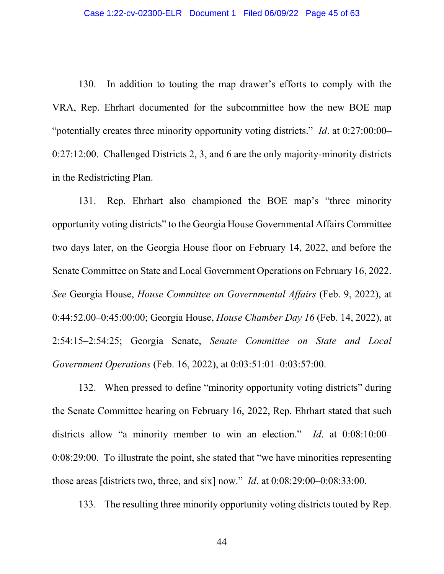130. In addition to touting the map drawer's efforts to comply with the VRA, Rep. Ehrhart documented for the subcommittee how the new BOE map "potentially creates three minority opportunity voting districts." *Id*. at 0:27:00:00– 0:27:12:00. Challenged Districts 2, 3, and 6 are the only majority-minority districts in the Redistricting Plan.

131. Rep. Ehrhart also championed the BOE map's "three minority opportunity voting districts" to the Georgia House Governmental Affairs Committee two days later, on the Georgia House floor on February 14, 2022, and before the Senate Committee on State and Local Government Operations on February 16, 2022. *See* Georgia House, *House Committee on Governmental Affairs* (Feb. 9, 2022), at 0:44:52.00–0:45:00:00; Georgia House, *House Chamber Day 16* (Feb. 14, 2022), at 2:54:15–2:54:25; Georgia Senate, *Senate Committee on State and Local Government Operations* (Feb. 16, 2022), at 0:03:51:01–0:03:57:00.

132. When pressed to define "minority opportunity voting districts" during the Senate Committee hearing on February 16, 2022, Rep. Ehrhart stated that such districts allow "a minority member to win an election." *Id*. at 0:08:10:00– 0:08:29:00. To illustrate the point, she stated that "we have minorities representing those areas [districts two, three, and six] now." *Id*. at 0:08:29:00–0:08:33:00.

133. The resulting three minority opportunity voting districts touted by Rep.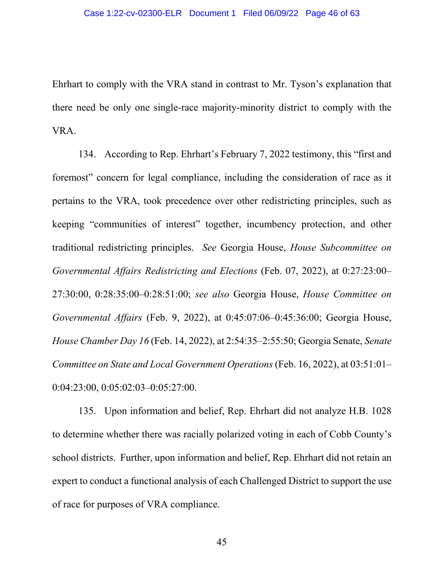Ehrhart to comply with the VRA stand in contrast to Mr. Tyson's explanation that there need be only one single-race majority-minority district to comply with the VRA.

134. According to Rep. Ehrhart's February 7, 2022 testimony, this "first and foremost" concern for legal compliance, including the consideration of race as it pertains to the VRA, took precedence over other redistricting principles, such as keeping "communities of interest" together, incumbency protection, and other traditional redistricting principles. *See* Georgia House, *House Subcommittee on Governmental Affairs Redistricting and Elections* (Feb. 07, 2022), at 0:27:23:00– 27:30:00, 0:28:35:00–0:28:51:00; *see also* Georgia House, *House Committee on Governmental Affairs* (Feb. 9, 2022), at 0:45:07:06–0:45:36:00; Georgia House, *House Chamber Day 16* (Feb. 14, 2022), at 2:54:35–2:55:50; Georgia Senate, *Senate Committee on State and Local Government Operations* (Feb. 16, 2022), at 03:51:01– 0:04:23:00, 0:05:02:03–0:05:27:00.

135. Upon information and belief, Rep. Ehrhart did not analyze H.B. 1028 to determine whether there was racially polarized voting in each of Cobb County's school districts. Further, upon information and belief, Rep. Ehrhart did not retain an expert to conduct a functional analysis of each Challenged District to support the use of race for purposes of VRA compliance.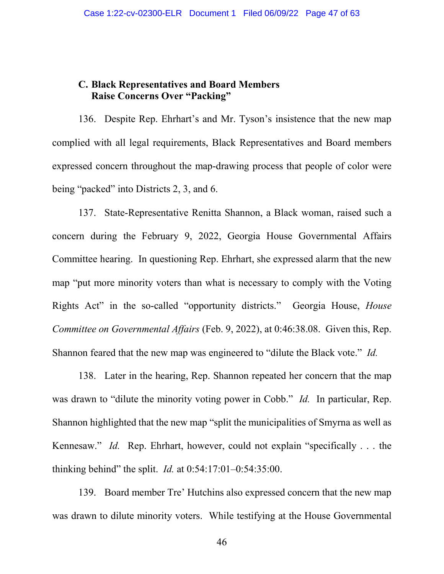# **C. Black Representatives and Board Members Raise Concerns Over "Packing"**

136. Despite Rep. Ehrhart's and Mr. Tyson's insistence that the new map complied with all legal requirements, Black Representatives and Board members expressed concern throughout the map-drawing process that people of color were being "packed" into Districts 2, 3, and 6.

137. State-Representative Renitta Shannon, a Black woman, raised such a concern during the February 9, 2022, Georgia House Governmental Affairs Committee hearing. In questioning Rep. Ehrhart, she expressed alarm that the new map "put more minority voters than what is necessary to comply with the Voting Rights Act" in the so-called "opportunity districts." Georgia House, *House Committee on Governmental Affairs* (Feb. 9, 2022), at 0:46:38.08. Given this, Rep. Shannon feared that the new map was engineered to "dilute the Black vote." *Id.*

138. Later in the hearing, Rep. Shannon repeated her concern that the map was drawn to "dilute the minority voting power in Cobb." *Id.* In particular, Rep. Shannon highlighted that the new map "split the municipalities of Smyrna as well as Kennesaw." *Id.* Rep. Ehrhart, however, could not explain "specifically . . . the thinking behind" the split. *Id.* at 0:54:17:01–0:54:35:00.

139. Board member Tre' Hutchins also expressed concern that the new map was drawn to dilute minority voters. While testifying at the House Governmental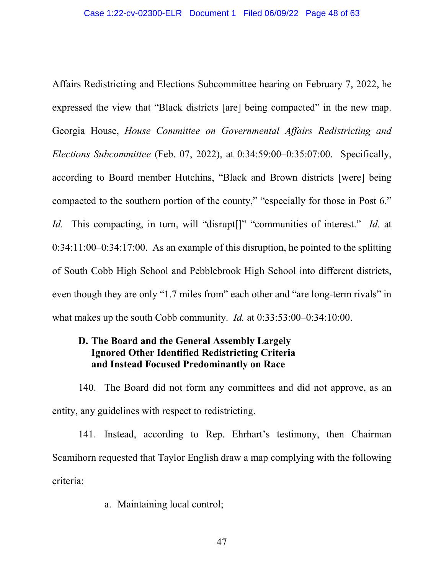Affairs Redistricting and Elections Subcommittee hearing on February 7, 2022, he expressed the view that "Black districts [are] being compacted" in the new map. Georgia House, *House Committee on Governmental Affairs Redistricting and Elections Subcommittee* (Feb. 07, 2022), at 0:34:59:00–0:35:07:00. Specifically, according to Board member Hutchins, "Black and Brown districts [were] being compacted to the southern portion of the county," "especially for those in Post 6." *Id.* This compacting, in turn, will "disrupt<sup>[]"</sup> "communities of interest." *Id.* at 0:34:11:00–0:34:17:00. As an example of this disruption, he pointed to the splitting of South Cobb High School and Pebblebrook High School into different districts, even though they are only "1.7 miles from" each other and "are long-term rivals" in what makes up the south Cobb community. *Id.* at 0:33:53:00–0:34:10:00.

# **D. The Board and the General Assembly Largely Ignored Other Identified Redistricting Criteria and Instead Focused Predominantly on Race**

140. The Board did not form any committees and did not approve, as an entity, any guidelines with respect to redistricting.

141. Instead, according to Rep. Ehrhart's testimony, then Chairman Scamihorn requested that Taylor English draw a map complying with the following criteria:

a. Maintaining local control;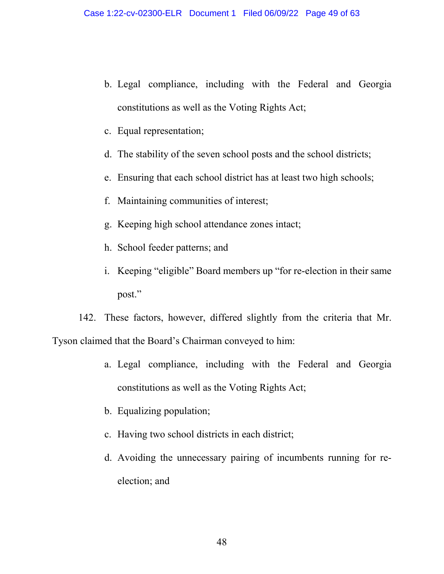- b. Legal compliance, including with the Federal and Georgia constitutions as well as the Voting Rights Act;
- c. Equal representation;
- d. The stability of the seven school posts and the school districts;
- e. Ensuring that each school district has at least two high schools;
- f. Maintaining communities of interest;
- g. Keeping high school attendance zones intact;
- h. School feeder patterns; and
- i. Keeping "eligible" Board members up "for re-election in their same post."

142. These factors, however, differed slightly from the criteria that Mr. Tyson claimed that the Board's Chairman conveyed to him:

- a. Legal compliance, including with the Federal and Georgia constitutions as well as the Voting Rights Act;
- b. Equalizing population;
- c. Having two school districts in each district;
- d. Avoiding the unnecessary pairing of incumbents running for reelection; and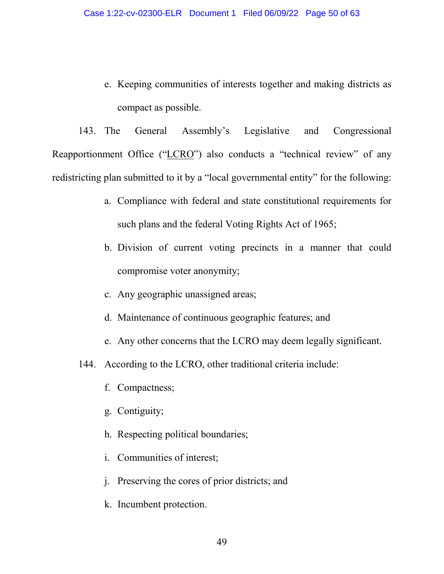e. Keeping communities of interests together and making districts as compact as possible.

143. The General Assembly's Legislative and Congressional Reapportionment Office ("LCRO") also conducts a "technical review" of any redistricting plan submitted to it by a "local governmental entity" for the following:

- a. Compliance with federal and state constitutional requirements for such plans and the federal Voting Rights Act of 1965;
- b. Division of current voting precincts in a manner that could compromise voter anonymity;
- c. Any geographic unassigned areas;
- d. Maintenance of continuous geographic features; and
- e. Any other concerns that the LCRO may deem legally significant.
- 144. According to the LCRO, other traditional criteria include:
	- f. Compactness;
	- g. Contiguity;
	- h. Respecting political boundaries;
	- i. Communities of interest;
	- j. Preserving the cores of prior districts; and
	- k. Incumbent protection.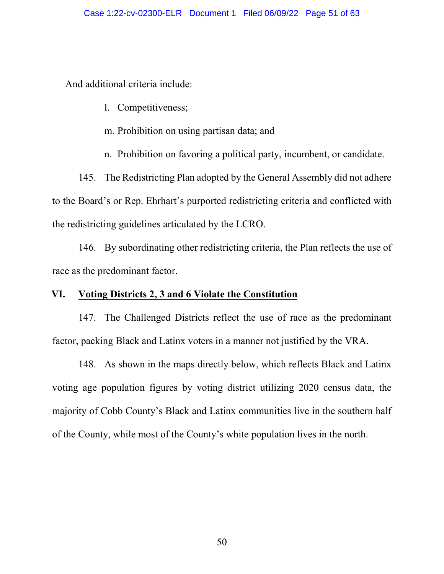And additional criteria include:

- l. Competitiveness;
- m. Prohibition on using partisan data; and

n. Prohibition on favoring a political party, incumbent, or candidate.

145. The Redistricting Plan adopted by the General Assembly did not adhere to the Board's or Rep. Ehrhart's purported redistricting criteria and conflicted with the redistricting guidelines articulated by the LCRO.

146. By subordinating other redistricting criteria, the Plan reflects the use of race as the predominant factor.

# **VI. Voting Districts 2, 3 and 6 Violate the Constitution**

147. The Challenged Districts reflect the use of race as the predominant factor, packing Black and Latinx voters in a manner not justified by the VRA.

148. As shown in the maps directly below, which reflects Black and Latinx voting age population figures by voting district utilizing 2020 census data, the majority of Cobb County's Black and Latinx communities live in the southern half of the County, while most of the County's white population lives in the north.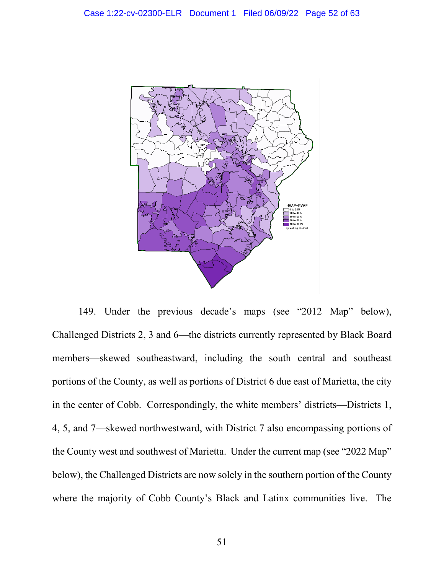

149. Under the previous decade's maps (see "2012 Map" below), Challenged Districts 2, 3 and 6—the districts currently represented by Black Board members—skewed southeastward, including the south central and southeast portions of the County, as well as portions of District 6 due east of Marietta, the city in the center of Cobb. Correspondingly, the white members' districts—Districts 1, 4, 5, and 7—skewed northwestward, with District 7 also encompassing portions of the County west and southwest of Marietta. Under the current map (see "2022 Map" below), the Challenged Districts are now solely in the southern portion of the County where the majority of Cobb County's Black and Latinx communities live. The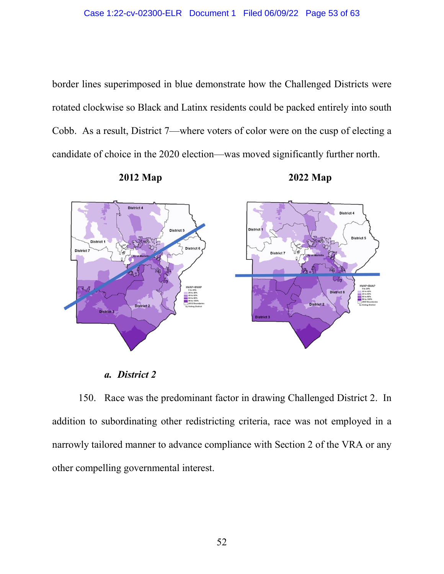border lines superimposed in blue demonstrate how the Challenged Districts were rotated clockwise so Black and Latinx residents could be packed entirely into south Cobb. As a result, District 7—where voters of color were on the cusp of electing a candidate of choice in the 2020 election—was moved significantly further north.





*a. District 2* 

150. Race was the predominant factor in drawing Challenged District 2. In addition to subordinating other redistricting criteria, race was not employed in a narrowly tailored manner to advance compliance with Section 2 of the VRA or any other compelling governmental interest.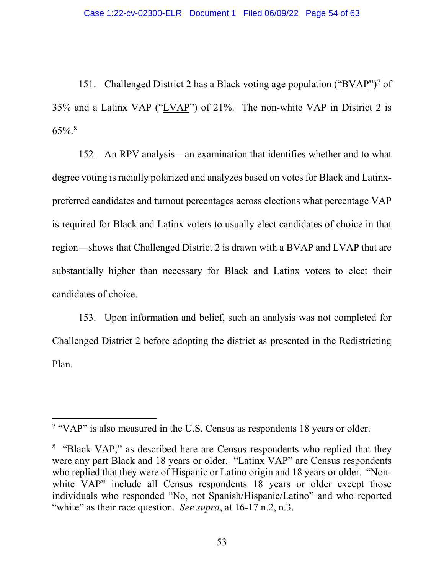151. Challenged District 2 has a Black voting age population ("BVAP")<sup>[7](#page-53-0)</sup> of 35% and a Latinx VAP ("LVAP") of 21%. The non-white VAP in District 2 is  $65\%$ .<sup>[8](#page-53-0)</sup>

152. An RPV analysis—an examination that identifies whether and to what degree voting is racially polarized and analyzes based on votes for Black and Latinxpreferred candidates and turnout percentages across elections what percentage VAP is required for Black and Latinx voters to usually elect candidates of choice in that region—shows that Challenged District 2 is drawn with a BVAP and LVAP that are substantially higher than necessary for Black and Latinx voters to elect their candidates of choice.

153. Upon information and belief, such an analysis was not completed for Challenged District 2 before adopting the district as presented in the Redistricting Plan.

 <sup>7</sup> "VAP" is also measured in the U.S. Census as respondents 18 years or older.

<span id="page-53-0"></span><sup>&</sup>lt;sup>8</sup> "Black VAP," as described here are Census respondents who replied that they were any part Black and 18 years or older. "Latinx VAP" are Census respondents who replied that they were of Hispanic or Latino origin and 18 years or older. "Nonwhite VAP" include all Census respondents 18 years or older except those individuals who responded "No, not Spanish/Hispanic/Latino" and who reported "white" as their race question. *See supra*, at 16-17 n.2, n.3.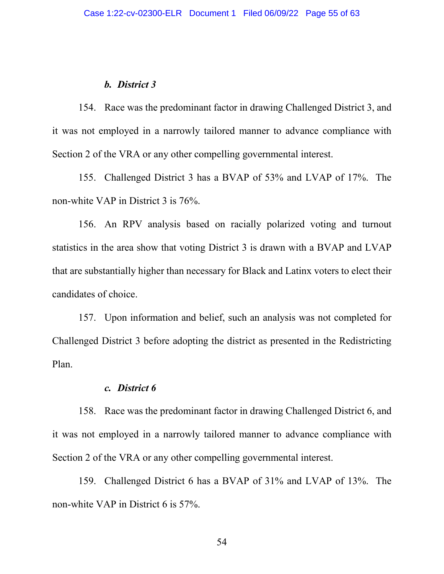#### *b. District 3*

154. Race was the predominant factor in drawing Challenged District 3, and it was not employed in a narrowly tailored manner to advance compliance with Section 2 of the VRA or any other compelling governmental interest.

155. Challenged District 3 has a BVAP of 53% and LVAP of 17%. The non-white VAP in District 3 is 76%.

156. An RPV analysis based on racially polarized voting and turnout statistics in the area show that voting District 3 is drawn with a BVAP and LVAP that are substantially higher than necessary for Black and Latinx voters to elect their candidates of choice.

157. Upon information and belief, such an analysis was not completed for Challenged District 3 before adopting the district as presented in the Redistricting Plan.

### *c. District 6*

158. Race was the predominant factor in drawing Challenged District 6, and it was not employed in a narrowly tailored manner to advance compliance with Section 2 of the VRA or any other compelling governmental interest.

159. Challenged District 6 has a BVAP of 31% and LVAP of 13%. The non-white VAP in District 6 is 57%.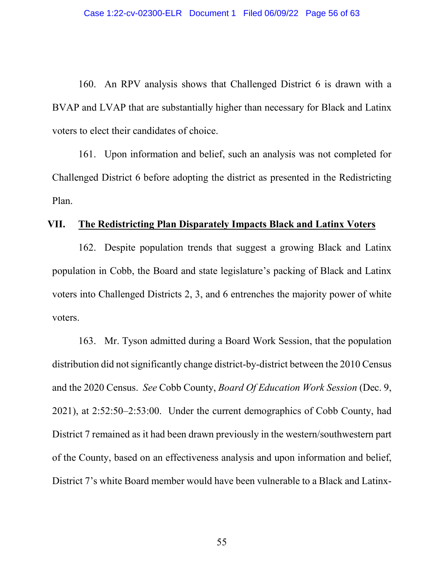160. An RPV analysis shows that Challenged District 6 is drawn with a BVAP and LVAP that are substantially higher than necessary for Black and Latinx voters to elect their candidates of choice.

161. Upon information and belief, such an analysis was not completed for Challenged District 6 before adopting the district as presented in the Redistricting Plan.

## **VII. The Redistricting Plan Disparately Impacts Black and Latinx Voters**

162. Despite population trends that suggest a growing Black and Latinx population in Cobb, the Board and state legislature's packing of Black and Latinx voters into Challenged Districts 2, 3, and 6 entrenches the majority power of white voters.

163. Mr. Tyson admitted during a Board Work Session, that the population distribution did not significantly change district-by-district between the 2010 Census and the 2020 Census. *See* Cobb County, *Board Of Education Work Session* (Dec. 9, 2021), at 2:52:50–2:53:00. Under the current demographics of Cobb County, had District 7 remained as it had been drawn previously in the western/southwestern part of the County, based on an effectiveness analysis and upon information and belief, District 7's white Board member would have been vulnerable to a Black and Latinx-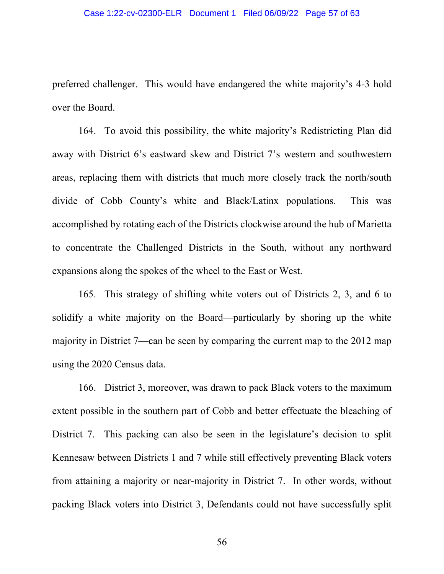#### Case 1:22-cv-02300-ELR Document 1 Filed 06/09/22 Page 57 of 63

preferred challenger. This would have endangered the white majority's 4-3 hold over the Board.

164. To avoid this possibility, the white majority's Redistricting Plan did away with District 6's eastward skew and District 7's western and southwestern areas, replacing them with districts that much more closely track the north/south divide of Cobb County's white and Black/Latinx populations. This was accomplished by rotating each of the Districts clockwise around the hub of Marietta to concentrate the Challenged Districts in the South, without any northward expansions along the spokes of the wheel to the East or West.

165. This strategy of shifting white voters out of Districts 2, 3, and 6 to solidify a white majority on the Board—particularly by shoring up the white majority in District 7—can be seen by comparing the current map to the 2012 map using the 2020 Census data.

166. District 3, moreover, was drawn to pack Black voters to the maximum extent possible in the southern part of Cobb and better effectuate the bleaching of District 7. This packing can also be seen in the legislature's decision to split Kennesaw between Districts 1 and 7 while still effectively preventing Black voters from attaining a majority or near-majority in District 7. In other words, without packing Black voters into District 3, Defendants could not have successfully split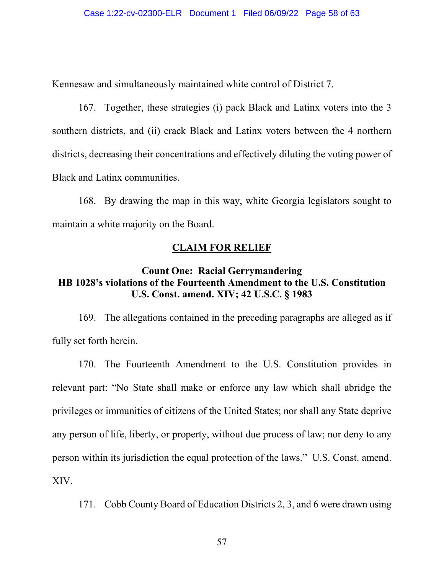Kennesaw and simultaneously maintained white control of District 7.

167. Together, these strategies (i) pack Black and Latinx voters into the 3 southern districts, and (ii) crack Black and Latinx voters between the 4 northern districts, decreasing their concentrations and effectively diluting the voting power of Black and Latinx communities.

168. By drawing the map in this way, white Georgia legislators sought to maintain a white majority on the Board.

## **CLAIM FOR RELIEF**

# **Count One: Racial Gerrymandering HB 1028's violations of the Fourteenth Amendment to the U.S. Constitution U.S. Const. amend. XIV; 42 U.S.C. § 1983**

169. The allegations contained in the preceding paragraphs are alleged as if fully set forth herein.

170. The Fourteenth Amendment to the U.S. Constitution provides in relevant part: "No State shall make or enforce any law which shall abridge the privileges or immunities of citizens of the United States; nor shall any State deprive any person of life, liberty, or property, without due process of law; nor deny to any person within its jurisdiction the equal protection of the laws." U.S. Const. amend. XIV.

171. Cobb County Board of Education Districts 2, 3, and 6 were drawn using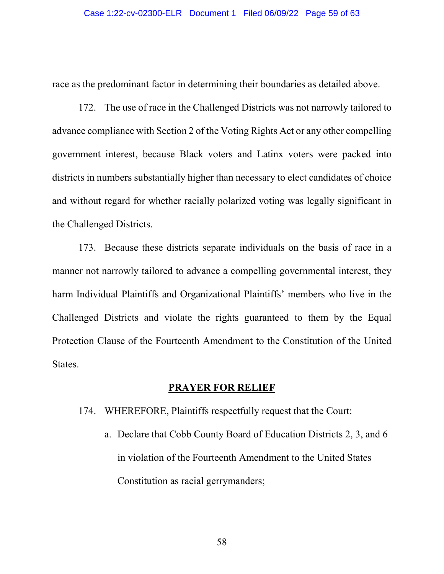race as the predominant factor in determining their boundaries as detailed above.

172. The use of race in the Challenged Districts was not narrowly tailored to advance compliance with Section 2 of the Voting Rights Act or any other compelling government interest, because Black voters and Latinx voters were packed into districts in numbers substantially higher than necessary to elect candidates of choice and without regard for whether racially polarized voting was legally significant in the Challenged Districts.

173. Because these districts separate individuals on the basis of race in a manner not narrowly tailored to advance a compelling governmental interest, they harm Individual Plaintiffs and Organizational Plaintiffs' members who live in the Challenged Districts and violate the rights guaranteed to them by the Equal Protection Clause of the Fourteenth Amendment to the Constitution of the United States.

## **PRAYER FOR RELIEF**

- 174. WHEREFORE, Plaintiffs respectfully request that the Court:
	- a. Declare that Cobb County Board of Education Districts 2, 3, and 6 in violation of the Fourteenth Amendment to the United States Constitution as racial gerrymanders;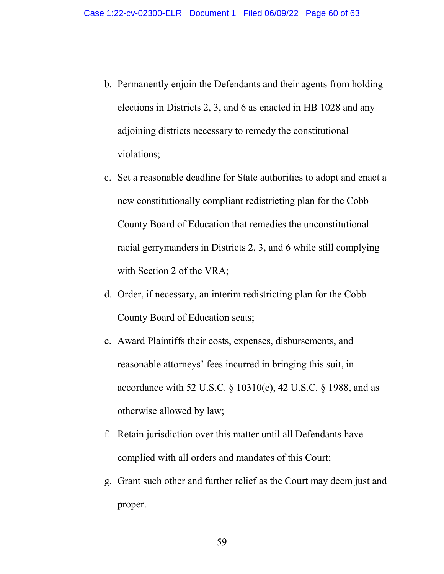- b. Permanently enjoin the Defendants and their agents from holding elections in Districts 2, 3, and 6 as enacted in HB 1028 and any adjoining districts necessary to remedy the constitutional violations;
- c. Set a reasonable deadline for State authorities to adopt and enact a new constitutionally compliant redistricting plan for the Cobb County Board of Education that remedies the unconstitutional racial gerrymanders in Districts 2, 3, and 6 while still complying with Section 2 of the VRA;
- d. Order, if necessary, an interim redistricting plan for the Cobb County Board of Education seats;
- e. Award Plaintiffs their costs, expenses, disbursements, and reasonable attorneys' fees incurred in bringing this suit, in accordance with 52 U.S.C. § 10310(e), 42 U.S.C. § 1988, and as otherwise allowed by law;
- f. Retain jurisdiction over this matter until all Defendants have complied with all orders and mandates of this Court;
- g. Grant such other and further relief as the Court may deem just and proper.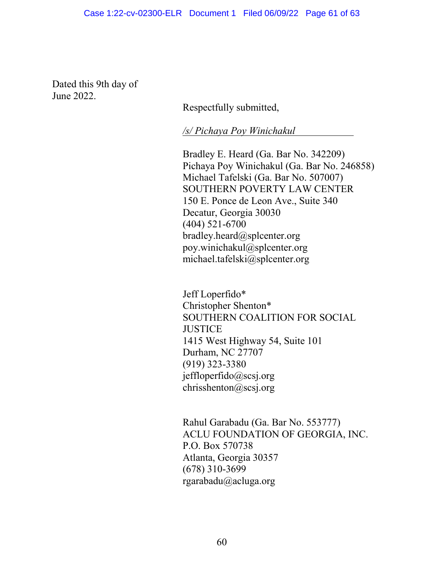Dated this 9th day of June 2022.

Respectfully submitted,

*/s/ Pichaya Poy Winichakul* 

Bradley E. Heard (Ga. Bar No. 342209) Pichaya Poy Winichakul (Ga. Bar No. 246858) Michael Tafelski (Ga. Bar No. 507007) SOUTHERN POVERTY LAW CENTER 150 E. Ponce de Leon Ave., Suite 340 Decatur, Georgia 30030 (404) 521-6700 bradley.heard@splcenter.org poy.winichakul@splcenter.org michael.tafelski@splcenter.org

Jeff Loperfido\* Christopher Shenton\* SOUTHERN COALITION FOR SOCIAL **JUSTICE** 1415 West Highway 54, Suite 101 Durham, NC 27707 (919) 323-3380 jeffloperfido@scsj.org chrisshenton@scsj.org

Rahul Garabadu (Ga. Bar No. 553777) ACLU FOUNDATION OF GEORGIA, INC. P.O. Box 570738 Atlanta, Georgia 30357 (678) 310-3699 rgarabadu@acluga.org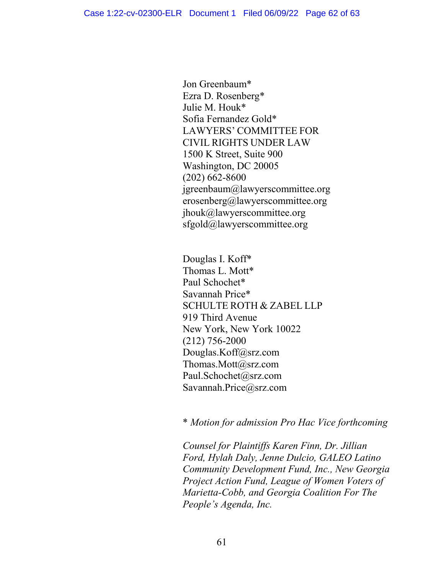Jon Greenbaum\* Ezra D. Rosenberg\* Julie M. Houk\* Sofia Fernandez Gold\* LAWYERS' COMMITTEE FOR CIVIL RIGHTS UNDER LAW 1500 K Street, Suite 900 Washington, DC 20005 (202) 662-8600 jgreenbaum@lawyerscommittee.org erosenberg@lawyerscommittee.org jhouk@lawyerscommittee.org sfgold@lawyerscommittee.org

Douglas I. Koff\* Thomas L. Mott\* Paul Schochet\* Savannah Price\* SCHULTE ROTH & ZABEL LLP 919 Third Avenue New York, New York 10022 (212) 756-2000 Douglas.Koff@srz.com Thomas.Mott@srz.com Paul.Schochet@srz.com Savannah.Price@srz.com

\* *Motion for admission Pro Hac Vice forthcoming*

*Counsel for Plaintiffs Karen Finn, Dr. Jillian Ford, Hylah Daly, Jenne Dulcio, GALEO Latino Community Development Fund, Inc., New Georgia Project Action Fund, League of Women Voters of Marietta-Cobb, and Georgia Coalition For The People's Agenda, Inc.*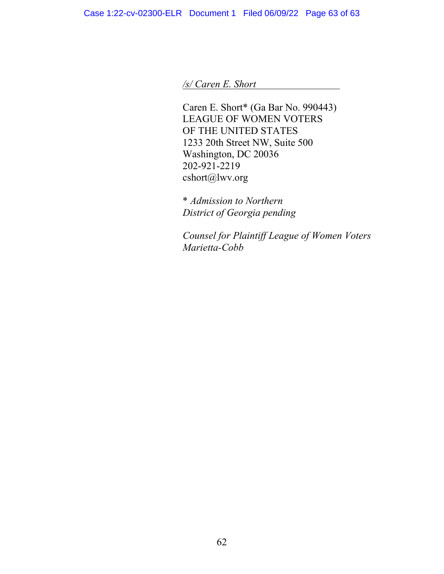*/s/ Caren E. Short* 

Caren E. Short\* (Ga Bar No. 990443) LEAGUE OF WOMEN VOTERS OF THE UNITED STATES 1233 20th Street NW, Suite 500 Washington, DC 20036 202-921-2219 cshort@lwv.org

\* *Admission to Northern District of Georgia pending*

*Counsel for Plaintiff League of Women Voters Marietta-Cobb*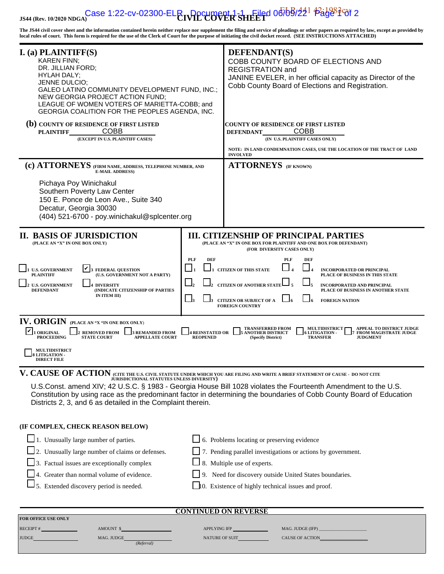#### **JS44 (Rev. 10/2020 NDGA) CIVIL COVER SHEET** Case 1:22-cv-02300-ELR , Document 1 - L Filed 06/09/22<sup>1</sup> Page 1 of 2

**The JS44 civil cover sheet and the information contained herein neither replace nor supplement the filing and service of pleadings or other papers as required by law, except as provided by local rules of court. This form is required for the use of the Clerk of Court for the purpose of initiating the civil docket record. (SEE INSTRUCTIONS ATTACHED)**

| $I.$ (a) PLAINTIFF(S)<br><b>KAREN FINN;</b><br>DR. JILLIAN FORD;<br><b>HYLAH DALY:</b><br>JENNE DULCIO;<br>GALEO LATINO COMMUNITY DEVELOPMENT FUND, INC.;<br>NEW GEORGIA PROJECT ACTION FUND;<br>LEAGUE OF WOMEN VOTERS OF MARIETTA-COBB; and<br>GEORGIA COALITION FOR THE PEOPLES AGENDA, INC. |                                                                                                                                                                                                                                                                                                                                                      | <b>DEFENDANT(S)</b><br>COBB COUNTY BOARD OF ELECTIONS AND<br><b>REGISTRATION and</b><br>JANINE EVELER, in her official capacity as Director of the<br>Cobb County Board of Elections and Registration.                                 |  |  |  |
|-------------------------------------------------------------------------------------------------------------------------------------------------------------------------------------------------------------------------------------------------------------------------------------------------|------------------------------------------------------------------------------------------------------------------------------------------------------------------------------------------------------------------------------------------------------------------------------------------------------------------------------------------------------|----------------------------------------------------------------------------------------------------------------------------------------------------------------------------------------------------------------------------------------|--|--|--|
| (b) COUNTY OF RESIDENCE OF FIRST LISTED<br><b>COBB</b><br><b>PLAINTIFF</b><br>(EXCEPT IN U.S. PLAINTIFF CASES)                                                                                                                                                                                  |                                                                                                                                                                                                                                                                                                                                                      | <b>COUNTY OF RESIDENCE OF FIRST LISTED</b><br><b>COBB</b><br><b>DEFENDANT</b><br>(IN U.S. PLAINTIFF CASES ONLY)                                                                                                                        |  |  |  |
|                                                                                                                                                                                                                                                                                                 |                                                                                                                                                                                                                                                                                                                                                      | NOTE: IN LAND CONDEMNATION CASES, USE THE LOCATION OF THE TRACT OF LAND<br><b>INVOLVED</b>                                                                                                                                             |  |  |  |
| (c) ATTORNEYS (FIRM NAME, ADDRESS, TELEPHONE NUMBER, AND<br><b>E-MAIL ADDRESS)</b><br>Pichaya Poy Winichakul<br>Southern Poverty Law Center<br>150 E. Ponce de Leon Ave., Suite 340<br>Decatur, Georgia 30030<br>(404) 521-6700 - poy.winichakul@splcenter.org                                  |                                                                                                                                                                                                                                                                                                                                                      | <b>ATTORNEYS</b> (IF KNOWN)                                                                                                                                                                                                            |  |  |  |
| <b>II. BASIS OF JURISDICTION</b><br>(PLACE AN "X" IN ONE BOX ONLY)                                                                                                                                                                                                                              |                                                                                                                                                                                                                                                                                                                                                      | <b>III. CITIZENSHIP OF PRINCIPAL PARTIES</b><br>(PLACE AN "X" IN ONE BOX FOR PLAINTIFF AND ONE BOX FOR DEFENDANT)<br>(FOR DIVERSITY CASES ONLY)                                                                                        |  |  |  |
| V<br><b>U.S. GOVERNMENT</b><br><b>FEDERAL QUESTION</b><br>(U.S. GOVERNMENT NOT A PARTY)<br><b>PLAINTIFF</b><br><b>U.S. GOVERNMENT</b><br><b>4 DIVERSITY</b><br>(INDICATE CITIZENSHIP OF PARTIES<br><b>DEFENDANT</b><br>IN ITEM III)                                                             | <b>DEF</b><br><b>PLF</b><br>PLF<br>DEF<br><b>CITIZEN OF THIS STATE</b><br><b>INCORPORATED OR PRINCIPAL</b><br>PLACE OF BUSINESS IN THIS STATE<br><b>CITIZEN OF ANOTHER STAT</b><br>INCORPORATED AND PRINCIPAL<br>PLACE OF BUSINESS IN ANOTHER STATE<br>$\Box_3$<br><b>CITIZEN OR SUBJECT OF A</b><br><b>FOREIGN NATION</b><br><b>FOREIGN COUNTRY</b> |                                                                                                                                                                                                                                        |  |  |  |
| IV. ORIGIN (PLACE AN "X "IN ONE BOX ONLY)<br><b>ORIGINAL</b><br><b>REMOVED FROM</b><br><b>3 REMANDED FROM</b><br><b>PROCEEDING</b><br><b>STATE COURT</b><br><b>APPELLATE COURT</b>                                                                                                              | <b>4 REINSTATED OR</b><br><b>REOPENED</b>                                                                                                                                                                                                                                                                                                            | <b>APPEAL TO DISTRICT JUDGE</b><br><b>TRANSFERRED FROM</b><br><b>MULTIDISTRICT</b><br><b>ANOTHER DISTRICT</b><br><b>6 LITIGATION -</b><br>FROM MAGISTRATE JUDGE<br>(Specify District)<br><b>TRANSFER</b><br><b>JUDGMENT</b>            |  |  |  |
| <b>MULTIDISTRICT</b><br><b>TTIGATION</b><br><b>DIRECT FILE</b>                                                                                                                                                                                                                                  |                                                                                                                                                                                                                                                                                                                                                      |                                                                                                                                                                                                                                        |  |  |  |
| V. CAUSE OF ACTION (CITE THE U.S. CIVIL STATUTE UNDER WHICH YOU ARE FILING AND WRITE A BRIEF STATEMENT OF CAUSE - DO NOT CITE JURISDICTIONAL STATUTES UNLESS DIVERSITY)<br>Districts 2, 3, and 6 as detailed in the Complaint therein.                                                          |                                                                                                                                                                                                                                                                                                                                                      | U.S.Const. amend XIV; 42 U.S.C. § 1983 - Georgia House Bill 1028 violates the Fourteenth Amendment to the U.S.<br>Constitution by using race as the predominant factor in determining the boundaries of Cobb County Board of Education |  |  |  |
| (IF COMPLEX, CHECK REASON BELOW)                                                                                                                                                                                                                                                                |                                                                                                                                                                                                                                                                                                                                                      |                                                                                                                                                                                                                                        |  |  |  |
| 1. Unusually large number of parties.                                                                                                                                                                                                                                                           |                                                                                                                                                                                                                                                                                                                                                      | $\Box$ 6. Problems locating or preserving evidence                                                                                                                                                                                     |  |  |  |
| 2. Unusually large number of claims or defenses.                                                                                                                                                                                                                                                |                                                                                                                                                                                                                                                                                                                                                      | 7. Pending parallel investigations or actions by government.                                                                                                                                                                           |  |  |  |
| 3. Factual issues are exceptionally complex                                                                                                                                                                                                                                                     |                                                                                                                                                                                                                                                                                                                                                      | $\Box$ 8. Multiple use of experts.                                                                                                                                                                                                     |  |  |  |
| 4. Greater than normal volume of evidence.                                                                                                                                                                                                                                                      |                                                                                                                                                                                                                                                                                                                                                      | 9. Need for discovery outside United States boundaries.                                                                                                                                                                                |  |  |  |
| 5. Extended discovery period is needed.                                                                                                                                                                                                                                                         |                                                                                                                                                                                                                                                                                                                                                      | $\Box$ 0. Existence of highly technical issues and proof.                                                                                                                                                                              |  |  |  |
| <b>CONTINUED ON REVERSE</b>                                                                                                                                                                                                                                                                     |                                                                                                                                                                                                                                                                                                                                                      |                                                                                                                                                                                                                                        |  |  |  |
| FOR OFFICE USE ONLY                                                                                                                                                                                                                                                                             |                                                                                                                                                                                                                                                                                                                                                      |                                                                                                                                                                                                                                        |  |  |  |
| AMOUNT \$<br>RECEIPT #                                                                                                                                                                                                                                                                          | APPLYING IFP                                                                                                                                                                                                                                                                                                                                         | MAG. JUDGE (IFP)                                                                                                                                                                                                                       |  |  |  |

| NECETT       | AIVIUUIN I J | ALL LING ILL          | MAU. JUDUE (HT)        |
|--------------|--------------|-----------------------|------------------------|
| <b>JUDGE</b> | MAG. JUDGE   | <b>NATURE OF SUIT</b> | <b>CAUSE OF ACTION</b> |
|              | (Referral)   |                       |                        |